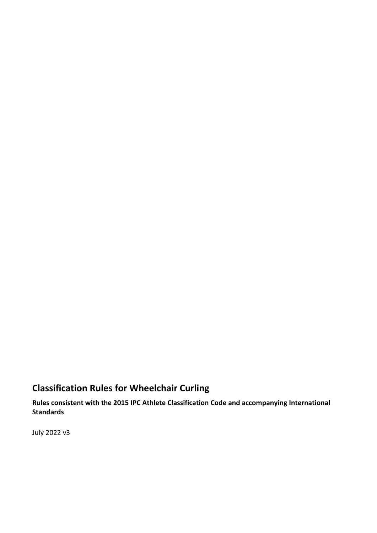# **Classification Rules for Wheelchair Curling**

**Rules consistent with the 2015 IPC Athlete Classification Code and accompanying International Standards**

July 2022 v3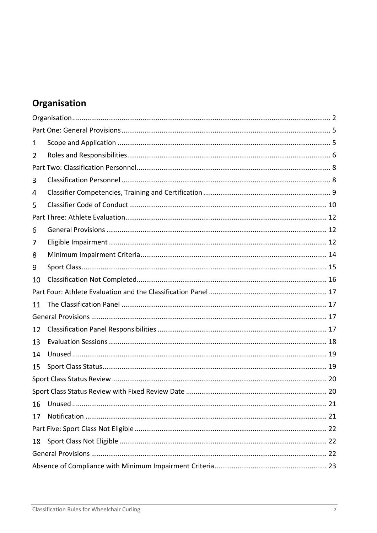# <span id="page-1-0"></span>Organisation

| 1  |  |
|----|--|
| 2  |  |
|    |  |
| 3  |  |
| 4  |  |
| 5  |  |
|    |  |
| 6  |  |
| 7  |  |
| 8  |  |
| 9  |  |
| 10 |  |
|    |  |
| 11 |  |
|    |  |
| 12 |  |
| 13 |  |
| 14 |  |
| 15 |  |
|    |  |
|    |  |
| 16 |  |
| 17 |  |
|    |  |
| 18 |  |
|    |  |
|    |  |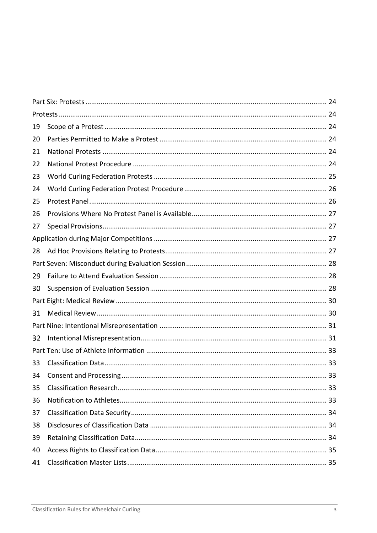| 19 |  |
|----|--|
| 20 |  |
| 21 |  |
| 22 |  |
| 23 |  |
| 24 |  |
| 25 |  |
| 26 |  |
| 27 |  |
|    |  |
| 28 |  |
|    |  |
| 29 |  |
| 30 |  |
|    |  |
| 31 |  |
|    |  |
| 32 |  |
|    |  |
| 33 |  |
| 34 |  |
| 35 |  |
| 36 |  |
| 37 |  |
| 38 |  |
| 39 |  |
| 40 |  |
| 41 |  |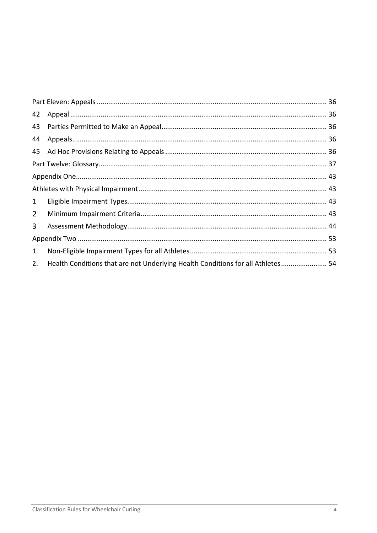| 42             |                                                                                 |  |
|----------------|---------------------------------------------------------------------------------|--|
| 43             |                                                                                 |  |
| 44             |                                                                                 |  |
|                |                                                                                 |  |
|                |                                                                                 |  |
|                |                                                                                 |  |
|                |                                                                                 |  |
| $\mathbf{1}$   |                                                                                 |  |
| $\overline{2}$ |                                                                                 |  |
| 3 <sup>1</sup> |                                                                                 |  |
|                |                                                                                 |  |
| 1.             |                                                                                 |  |
| 2.             | Health Conditions that are not Underlying Health Conditions for all Athletes 54 |  |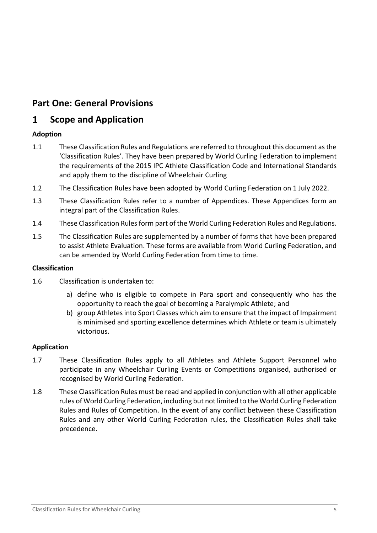# <span id="page-4-0"></span>**Part One: General Provisions**

#### <span id="page-4-1"></span> $\mathbf{1}$ **Scope and Application**

### **Adoption**

- 1.1 These Classification Rules and Regulations are referred to throughout this document as the 'Classification Rules'. They have been prepared by World Curling Federation to implement the requirements of the 2015 IPC Athlete Classification Code and International Standards and apply them to the discipline of Wheelchair Curling
- 1.2 The Classification Rules have been adopted by World Curling Federation on 1 July 2022.
- 1.3 These Classification Rules refer to a number of Appendices. These Appendices form an integral part of the Classification Rules.
- 1.4 These Classification Rules form part of the World Curling Federation Rules and Regulations.
- 1.5 The Classification Rules are supplemented by a number of forms that have been prepared to assist Athlete Evaluation. These forms are available from World Curling Federation, and can be amended by World Curling Federation from time to time.

### **Classification**

- 1.6 Classification is undertaken to:
	- a) define who is eligible to compete in Para sport and consequently who has the opportunity to reach the goal of becoming a Paralympic Athlete; and
	- b) group Athletes into Sport Classes which aim to ensure that the impact of Impairment is minimised and sporting excellence determines which Athlete or team is ultimately victorious.

### **Application**

- 1.7 These Classification Rules apply to all Athletes and Athlete Support Personnel who participate in any Wheelchair Curling Events or Competitions organised, authorised or recognised by World Curling Federation.
- 1.8 These Classification Rules must be read and applied in conjunction with all other applicable rules of World Curling Federation, including but not limited to the World Curling Federation Rules and Rules of Competition. In the event of any conflict between these Classification Rules and any other World Curling Federation rules, the Classification Rules shall take precedence.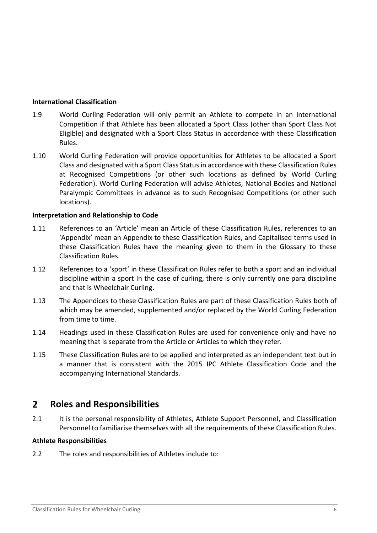#### **International Classification**

- 1.9 World Curling Federation will only permit an Athlete to compete in an International Competition if that Athlete has been allocated a Sport Class (other than Sport Class Not Eligible) and designated with a Sport Class Status in accordance with these Classification Rules.
- 1.10 World Curling Federation will provide opportunities for Athletes to be allocated a Sport Class and designated with a Sport Class Status in accordance with these Classification Rules at Recognised Competitions (or other such locations as defined by World Curling Federation). World Curling Federation will advise Athletes, National Bodies and National Paralympic Committees in advance as to such Recognised Competitions (or other such locations).

#### **Interpretation and Relationship to Code**

- 1.11 References to an 'Article' mean an Article of these Classification Rules, references to an 'Appendix' mean an Appendix to these Classification Rules, and Capitalised terms used in these Classification Rules have the meaning given to them in the Glossary to these Classification Rules.
- 1.12 References to a 'sport' in these Classification Rules refer to both a sport and an individual discipline within a sport In the case of curling, there is only currently one para discipline and that is Wheelchair Curling.
- 1.13 The Appendices to these Classification Rules are part of these Classification Rules both of which may be amended, supplemented and/or replaced by the World Curling Federation from time to time.
- 1.14 Headings used in these Classification Rules are used for convenience only and have no meaning that is separate from the Article or Articles to which they refer.
- 1.15 These Classification Rules are to be applied and interpreted as an independent text but in a manner that is consistent with the 2015 IPC Athlete Classification Code and the accompanying International Standards.

#### <span id="page-5-0"></span> $2<sup>1</sup>$ **Roles and Responsibilities**

2.1 It is the personal responsibility of Athletes, Athlete Support Personnel, and Classification Personnel to familiarise themselves with all the requirements of these Classification Rules.

#### **Athlete Responsibilities**

2.2 The roles and responsibilities of Athletes include to: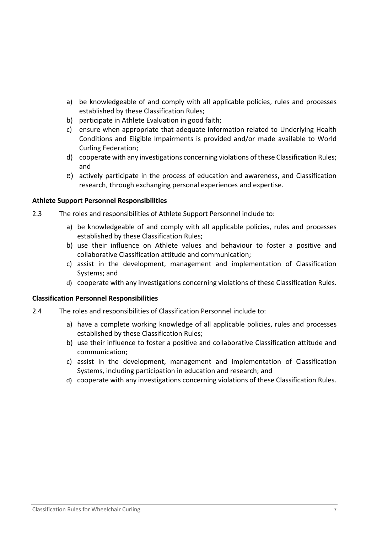- a) be knowledgeable of and comply with all applicable policies, rules and processes established by these Classification Rules;
- b) participate in Athlete Evaluation in good faith;
- c) ensure when appropriate that adequate information related to Underlying Health Conditions and Eligible Impairments is provided and/or made available to World Curling Federation;
- d) cooperate with any investigations concerning violations of these Classification Rules; and
- e) actively participate in the process of education and awareness, and Classification research, through exchanging personal experiences and expertise.

#### **Athlete Support Personnel Responsibilities**

- 2.3 The roles and responsibilities of Athlete Support Personnel include to:
	- a) be knowledgeable of and comply with all applicable policies, rules and processes established by these Classification Rules;
	- b) use their influence on Athlete values and behaviour to foster a positive and collaborative Classification attitude and communication;
	- c) assist in the development, management and implementation of Classification Systems; and
	- d) cooperate with any investigations concerning violations of these Classification Rules.

#### **Classification Personnel Responsibilities**

- 2.4 The roles and responsibilities of Classification Personnel include to:
	- a) have a complete working knowledge of all applicable policies, rules and processes established by these Classification Rules;
	- b) use their influence to foster a positive and collaborative Classification attitude and communication;
	- c) assist in the development, management and implementation of Classification Systems, including participation in education and research; and
	- d) cooperate with any investigations concerning violations of these Classification Rules.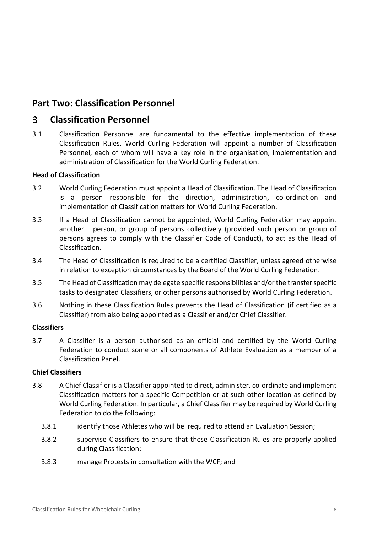# <span id="page-7-0"></span>**Part Two: Classification Personnel**

#### <span id="page-7-1"></span> $\overline{\mathbf{3}}$ **Classification Personnel**

3.1 Classification Personnel are fundamental to the effective implementation of these Classification Rules. World Curling Federation will appoint a number of Classification Personnel, each of whom will have a key role in the organisation, implementation and administration of Classification for the World Curling Federation.

### **Head of Classification**

- 3.2 World Curling Federation must appoint a Head of Classification. The Head of Classification is a person responsible for the direction, administration, co-ordination and implementation of Classification matters for World Curling Federation.
- 3.3 If a Head of Classification cannot be appointed, World Curling Federation may appoint another person, or group of persons collectively (provided such person or group of persons agrees to comply with the Classifier Code of Conduct), to act as the Head of Classification.
- 3.4 The Head of Classification is required to be a certified Classifier, unless agreed otherwise in relation to exception circumstances by the Board of the World Curling Federation.
- 3.5 The Head of Classification may delegate specific responsibilities and/or the transfer specific tasks to designated Classifiers, or other persons authorised by World Curling Federation.
- 3.6 Nothing in these Classification Rules prevents the Head of Classification (if certified as a Classifier) from also being appointed as a Classifier and/or Chief Classifier.

#### **Classifiers**

3.7 A Classifier is a person authorised as an official and certified by the World Curling Federation to conduct some or all components of Athlete Evaluation as a member of a Classification Panel.

#### **Chief Classifiers**

- 3.8 A Chief Classifier is a Classifier appointed to direct, administer, co-ordinate and implement Classification matters for a specific Competition or at such other location as defined by World Curling Federation. In particular, a Chief Classifier may be required by World Curling Federation to do the following:
	- 3.8.1 identify those Athletes who will be required to attend an Evaluation Session;
	- 3.8.2 supervise Classifiers to ensure that these Classification Rules are properly applied during Classification;
	- 3.8.3 manage Protests in consultation with the WCF; and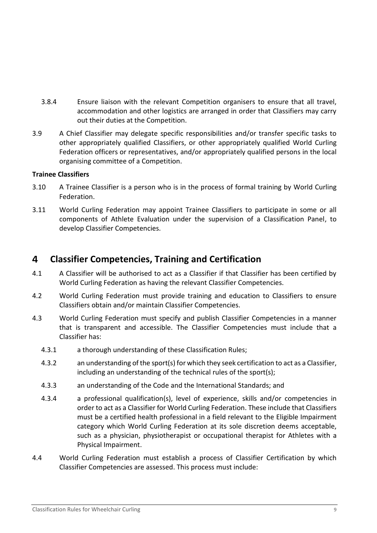- 3.8.4 Ensure liaison with the relevant Competition organisers to ensure that all travel, accommodation and other logistics are arranged in order that Classifiers may carry out their duties at the Competition.
- 3.9 A Chief Classifier may delegate specific responsibilities and/or transfer specific tasks to other appropriately qualified Classifiers, or other appropriately qualified World Curling Federation officers or representatives, and/or appropriately qualified persons in the local organising committee of a Competition.

#### **Trainee Classifiers**

- 3.10 A Trainee Classifier is a person who is in the process of formal training by World Curling Federation.
- 3.11 World Curling Federation may appoint Trainee Classifiers to participate in some or all components of Athlete Evaluation under the supervision of a Classification Panel, to develop Classifier Competencies.

#### <span id="page-8-0"></span> $\overline{\mathbf{A}}$ **Classifier Competencies, Training and Certification**

- 4.1 A Classifier will be authorised to act as a Classifier if that Classifier has been certified by World Curling Federation as having the relevant Classifier Competencies.
- 4.2 World Curling Federation must provide training and education to Classifiers to ensure Classifiers obtain and/or maintain Classifier Competencies.
- 4.3 World Curling Federation must specify and publish Classifier Competencies in a manner that is transparent and accessible. The Classifier Competencies must include that a Classifier has:
	- 4.3.1 a thorough understanding of these Classification Rules;
	- 4.3.2 an understanding of the sport(s) for which they seek certification to act as a Classifier, including an understanding of the technical rules of the sport(s);
	- 4.3.3 an understanding of the Code and the International Standards; and
	- 4.3.4 a professional qualification(s), level of experience, skills and/or competencies in order to act as a Classifier for World Curling Federation. These include that Classifiers must be a certified health professional in a field relevant to the Eligible Impairment category which World Curling Federation at its sole discretion deems acceptable, such as a physician, physiotherapist or occupational therapist for Athletes with a Physical Impairment.
- 4.4 World Curling Federation must establish a process of Classifier Certification by which Classifier Competencies are assessed. This process must include: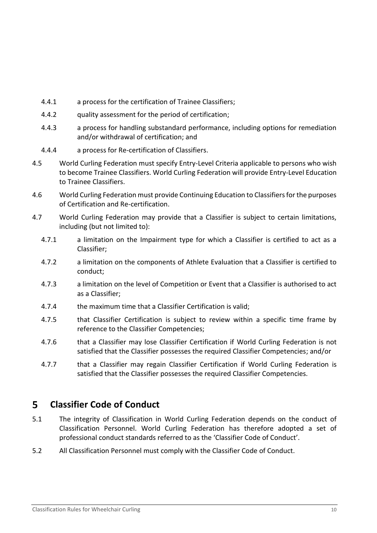- 4.4.1 a process for the certification of Trainee Classifiers;
- 4.4.2 quality assessment for the period of certification;
- 4.4.3 a process for handling substandard performance, including options for remediation and/or withdrawal of certification; and
- 4.4.4 a process for Re-certification of Classifiers.
- 4.5 World Curling Federation must specify Entry-Level Criteria applicable to persons who wish to become Trainee Classifiers. World Curling Federation will provide Entry-Level Education to Trainee Classifiers.
- 4.6 World Curling Federation must provide Continuing Education to Classifiers for the purposes of Certification and Re-certification.
- 4.7 World Curling Federation may provide that a Classifier is subject to certain limitations, including (but not limited to):
	- 4.7.1 a limitation on the Impairment type for which a Classifier is certified to act as a Classifier;
	- 4.7.2 a limitation on the components of Athlete Evaluation that a Classifier is certified to conduct;
	- 4.7.3 a limitation on the level of Competition or Event that a Classifier is authorised to act as a Classifier;
	- 4.7.4 the maximum time that a Classifier Certification is valid;
	- 4.7.5 that Classifier Certification is subject to review within a specific time frame by reference to the Classifier Competencies;
	- 4.7.6 that a Classifier may lose Classifier Certification if World Curling Federation is not satisfied that the Classifier possesses the required Classifier Competencies; and/or
	- 4.7.7 that a Classifier may regain Classifier Certification if World Curling Federation is satisfied that the Classifier possesses the required Classifier Competencies.

#### <span id="page-9-0"></span>5 **Classifier Code of Conduct**

- 5.1 The integrity of Classification in World Curling Federation depends on the conduct of Classification Personnel. World Curling Federation has therefore adopted a set of professional conduct standards referred to as the 'Classifier Code of Conduct'.
- 5.2 All Classification Personnel must comply with the Classifier Code of Conduct.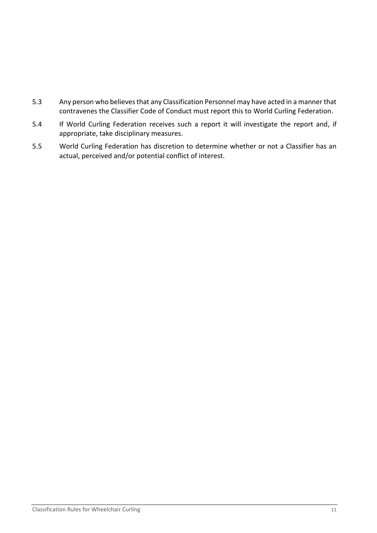- 5.3 Any person who believes that any Classification Personnel may have acted in a manner that contravenes the Classifier Code of Conduct must report this to World Curling Federation.
- 5.4 If World Curling Federation receives such a report it will investigate the report and, if appropriate, take disciplinary measures.
- 5.5 World Curling Federation has discretion to determine whether or not a Classifier has an actual, perceived and/or potential conflict of interest.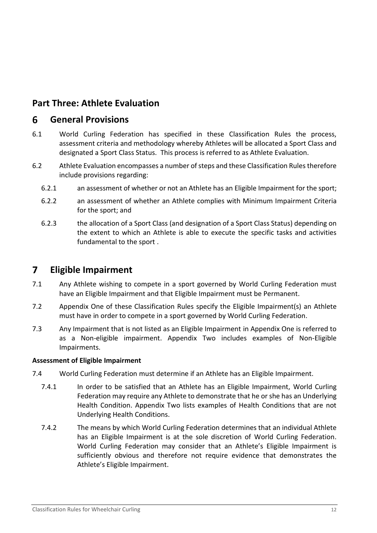# <span id="page-11-0"></span>**Part Three: Athlete Evaluation**

#### <span id="page-11-1"></span>6 **General Provisions**

- 6.1 World Curling Federation has specified in these Classification Rules the process, assessment criteria and methodology whereby Athletes will be allocated a Sport Class and designated a Sport Class Status. This process is referred to as Athlete Evaluation.
- 6.2 Athlete Evaluation encompasses a number of steps and these Classification Rules therefore include provisions regarding:
	- 6.2.1 an assessment of whether or not an Athlete has an Eligible Impairment for the sport;
	- 6.2.2 an assessment of whether an Athlete complies with Minimum Impairment Criteria for the sport; and
	- 6.2.3 the allocation of a Sport Class (and designation of a Sport Class Status) depending on the extent to which an Athlete is able to execute the specific tasks and activities fundamental to the sport .

#### <span id="page-11-2"></span> $\overline{\mathbf{z}}$ **Eligible Impairment**

- 7.1 Any Athlete wishing to compete in a sport governed by World Curling Federation must have an Eligible Impairment and that Eligible Impairment must be Permanent.
- 7.2 Appendix One of these Classification Rules specify the Eligible Impairment(s) an Athlete must have in order to compete in a sport governed by World Curling Federation.
- 7.3 Any Impairment that is not listed as an Eligible Impairment in Appendix One is referred to as a Non-eligible impairment. Appendix Two includes examples of Non-Eligible Impairments.

### **Assessment of Eligible Impairment**

- 7.4 World Curling Federation must determine if an Athlete has an Eligible Impairment.
	- 7.4.1 In order to be satisfied that an Athlete has an Eligible Impairment, World Curling Federation may require any Athlete to demonstrate that he or she has an Underlying Health Condition. Appendix Two lists examples of Health Conditions that are not Underlying Health Conditions.
	- 7.4.2 The means by which World Curling Federation determines that an individual Athlete has an Eligible Impairment is at the sole discretion of World Curling Federation. World Curling Federation may consider that an Athlete's Eligible Impairment is sufficiently obvious and therefore not require evidence that demonstrates the Athlete's Eligible Impairment.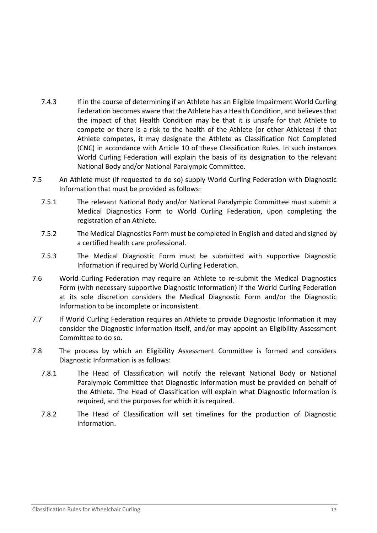- 7.4.3 If in the course of determining if an Athlete has an Eligible Impairment World Curling Federation becomes aware that the Athlete has a Health Condition, and believes that the impact of that Health Condition may be that it is unsafe for that Athlete to compete or there is a risk to the health of the Athlete (or other Athletes) if that Athlete competes, it may designate the Athlete as Classification Not Completed (CNC) in accordance with Article [10](#page-15-0) of these Classification Rules. In such instances World Curling Federation will explain the basis of its designation to the relevant National Body and/or National Paralympic Committee.
- 7.5 An Athlete must (if requested to do so) supply World Curling Federation with Diagnostic Information that must be provided as follows:
	- 7.5.1 The relevant National Body and/or National Paralympic Committee must submit a Medical Diagnostics Form to World Curling Federation, upon completing the registration of an Athlete.
	- 7.5.2 The Medical Diagnostics Form must be completed in English and dated and signed by a certified health care professional.
	- 7.5.3 The Medical Diagnostic Form must be submitted with supportive Diagnostic Information if required by World Curling Federation.
- 7.6 World Curling Federation may require an Athlete to re-submit the Medical Diagnostics Form (with necessary supportive Diagnostic Information) if the World Curling Federation at its sole discretion considers the Medical Diagnostic Form and/or the Diagnostic Information to be incomplete or inconsistent.
- 7.7 If World Curling Federation requires an Athlete to provide Diagnostic Information it may consider the Diagnostic Information itself, and/or may appoint an Eligibility Assessment Committee to do so.
- 7.8 The process by which an Eligibility Assessment Committee is formed and considers Diagnostic Information is as follows:
	- 7.8.1 The Head of Classification will notify the relevant National Body or National Paralympic Committee that Diagnostic Information must be provided on behalf of the Athlete. The Head of Classification will explain what Diagnostic Information is required, and the purposes for which it is required.
	- 7.8.2 The Head of Classification will set timelines for the production of Diagnostic Information.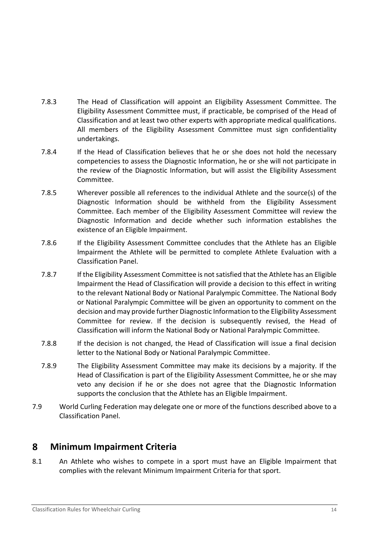- 7.8.3 The Head of Classification will appoint an Eligibility Assessment Committee. The Eligibility Assessment Committee must, if practicable, be comprised of the Head of Classification and at least two other experts with appropriate medical qualifications. All members of the Eligibility Assessment Committee must sign confidentiality undertakings.
- 7.8.4 If the Head of Classification believes that he or she does not hold the necessary competencies to assess the Diagnostic Information, he or she will not participate in the review of the Diagnostic Information, but will assist the Eligibility Assessment Committee.
- 7.8.5 Wherever possible all references to the individual Athlete and the source(s) of the Diagnostic Information should be withheld from the Eligibility Assessment Committee. Each member of the Eligibility Assessment Committee will review the Diagnostic Information and decide whether such information establishes the existence of an Eligible Impairment.
- 7.8.6 If the Eligibility Assessment Committee concludes that the Athlete has an Eligible Impairment the Athlete will be permitted to complete Athlete Evaluation with a Classification Panel.
- 7.8.7 If the Eligibility Assessment Committee is not satisfied that the Athlete has an Eligible Impairment the Head of Classification will provide a decision to this effect in writing to the relevant National Body or National Paralympic Committee. The National Body or National Paralympic Committee will be given an opportunity to comment on the decision and may provide further Diagnostic Information to the Eligibility Assessment Committee for review. If the decision is subsequently revised, the Head of Classification will inform the National Body or National Paralympic Committee.
- 7.8.8 If the decision is not changed, the Head of Classification will issue a final decision letter to the National Body or National Paralympic Committee.
- 7.8.9 The Eligibility Assessment Committee may make its decisions by a majority. If the Head of Classification is part of the Eligibility Assessment Committee, he or she may veto any decision if he or she does not agree that the Diagnostic Information supports the conclusion that the Athlete has an Eligible Impairment.
- 7.9 World Curling Federation may delegate one or more of the functions described above to a Classification Panel.

#### <span id="page-13-0"></span>8 **Minimum Impairment Criteria**

8.1 An Athlete who wishes to compete in a sport must have an Eligible Impairment that complies with the relevant Minimum Impairment Criteria for that sport.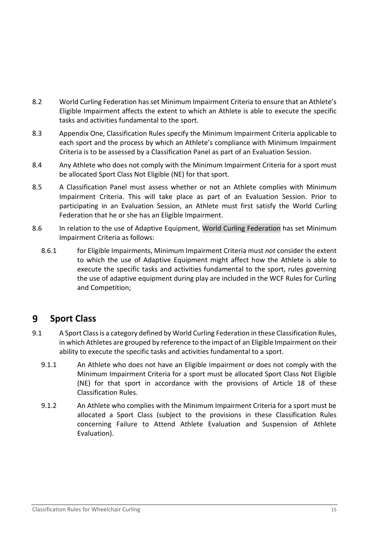- 8.2 World Curling Federation has set Minimum Impairment Criteria to ensure that an Athlete's Eligible Impairment affects the extent to which an Athlete is able to execute the specific tasks and activities fundamental to the sport.
- 8.3 Appendix One, Classification Rules specify the Minimum Impairment Criteria applicable to each sport and the process by which an Athlete's compliance with Minimum Impairment Criteria is to be assessed by a Classification Panel as part of an Evaluation Session.
- 8.4 Any Athlete who does not comply with the Minimum Impairment Criteria for a sport must be allocated Sport Class Not Eligible (NE) for that sport.
- 8.5 A Classification Panel must assess whether or not an Athlete complies with Minimum Impairment Criteria. This will take place as part of an Evaluation Session. Prior to participating in an Evaluation Session, an Athlete must first satisfy the World Curling Federation that he or she has an Eligible Impairment.
- 8.6 In relation to the use of Adaptive Equipment, World Curling Federation has set Minimum Impairment Criteria as follows:
	- 8.6.1 for Eligible Impairments, Minimum Impairment Criteria must *not* consider the extent to which the use of Adaptive Equipment might affect how the Athlete is able to execute the specific tasks and activities fundamental to the sport, rules governing the use of adaptive equipment during play are included in the WCF Rules for Curling and Competition;

#### <span id="page-14-0"></span>9 **Sport Class**

- 9.1 A Sport Class is a category defined by World Curling Federation in these Classification Rules, in which Athletes are grouped by reference to the impact of an Eligible Impairment on their ability to execute the specific tasks and activities fundamental to a sport.
	- 9.1.1 An Athlete who does not have an Eligible Impairment or does not comply with the Minimum Impairment Criteria for a sport must be allocated Sport Class Not Eligible (NE) for that sport in accordance with the provisions of Article [18](#page-21-1) of these Classification Rules.
	- 9.1.2 An Athlete who complies with the Minimum Impairment Criteria for a sport must be allocated a Sport Class (subject to the provisions in these Classification Rules concerning Failure to Attend Athlete Evaluation and Suspension of Athlete Evaluation).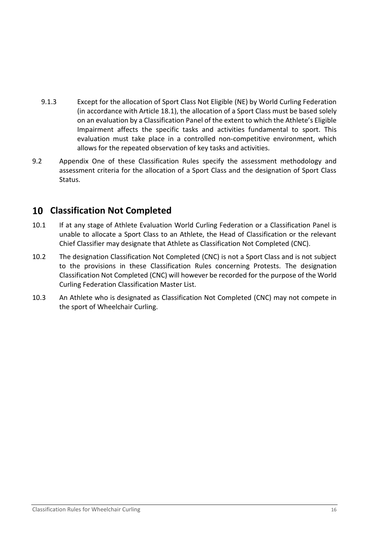- 9.1.3 Except for the allocation of Sport Class Not Eligible (NE) by World Curling Federation (in accordance with Article [18.1\)](#page-21-3), the allocation of a Sport Class must be based solely on an evaluation by a Classification Panel of the extent to which the Athlete's Eligible Impairment affects the specific tasks and activities fundamental to sport. This evaluation must take place in a controlled non-competitive environment, which allows for the repeated observation of key tasks and activities.
- 9.2 Appendix One of these Classification Rules specify the assessment methodology and assessment criteria for the allocation of a Sport Class and the designation of Sport Class Status.

# <span id="page-15-0"></span>**Classification Not Completed**

- 10.1 If at any stage of Athlete Evaluation World Curling Federation or a Classification Panel is unable to allocate a Sport Class to an Athlete, the Head of Classification or the relevant Chief Classifier may designate that Athlete as Classification Not Completed (CNC).
- 10.2 The designation Classification Not Completed (CNC) is not a Sport Class and is not subject to the provisions in these Classification Rules concerning Protests. The designation Classification Not Completed (CNC) will however be recorded for the purpose of the World Curling Federation Classification Master List.
- 10.3 An Athlete who is designated as Classification Not Completed (CNC) may not compete in the sport of Wheelchair Curling.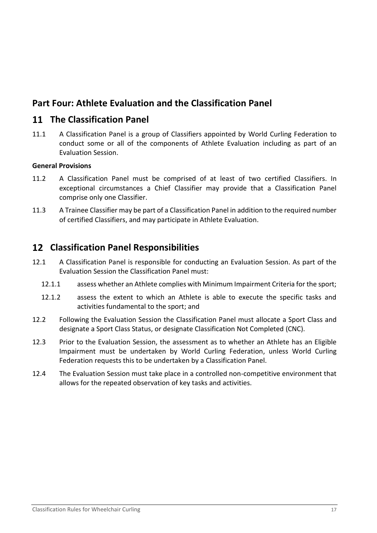# <span id="page-16-0"></span>**Part Four: Athlete Evaluation and the Classification Panel**

### <span id="page-16-1"></span>**The Classification Panel**

11.1 A Classification Panel is a group of Classifiers appointed by World Curling Federation to conduct some or all of the components of Athlete Evaluation including as part of an Evaluation Session.

#### <span id="page-16-2"></span>**General Provisions**

- 11.2 A Classification Panel must be comprised of at least of two certified Classifiers. In exceptional circumstances a Chief Classifier may provide that a Classification Panel comprise only one Classifier.
- 11.3 A Trainee Classifier may be part of a Classification Panel in addition to the required number of certified Classifiers, and may participate in Athlete Evaluation.

### <span id="page-16-3"></span>**Classification Panel Responsibilities**

- 12.1 A Classification Panel is responsible for conducting an Evaluation Session. As part of the Evaluation Session the Classification Panel must:
	- 12.1.1 assess whether an Athlete complies with Minimum Impairment Criteria for the sport;
	- 12.1.2 assess the extent to which an Athlete is able to execute the specific tasks and activities fundamental to the sport; and
- 12.2 Following the Evaluation Session the Classification Panel must allocate a Sport Class and designate a Sport Class Status, or designate Classification Not Completed (CNC).
- 12.3 Prior to the Evaluation Session, the assessment as to whether an Athlete has an Eligible Impairment must be undertaken by World Curling Federation, unless World Curling Federation requests this to be undertaken by a Classification Panel.
- 12.4 The Evaluation Session must take place in a controlled non-competitive environment that allows for the repeated observation of key tasks and activities.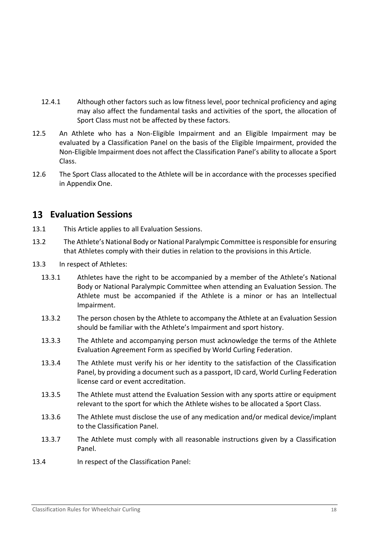- 12.4.1 Although other factors such as low fitness level, poor technical proficiency and aging may also affect the fundamental tasks and activities of the sport, the allocation of Sport Class must not be affected by these factors.
- 12.5 An Athlete who has a Non-Eligible Impairment and an Eligible Impairment may be evaluated by a Classification Panel on the basis of the Eligible Impairment, provided the Non-Eligible Impairment does not affect the Classification Panel's ability to allocate a Sport Class.
- 12.6 The Sport Class allocated to the Athlete will be in accordance with the processes specified in Appendix One.

## <span id="page-17-0"></span>**13 Evaluation Sessions**

- 13.1 This Article applies to all Evaluation Sessions.
- 13.2 The Athlete's National Body or National Paralympic Committee is responsible for ensuring that Athletes comply with their duties in relation to the provisions in this Article.
- <span id="page-17-1"></span>13.3 In respect of Athletes:
	- 13.3.1 Athletes have the right to be accompanied by a member of the Athlete's National Body or National Paralympic Committee when attending an Evaluation Session. The Athlete must be accompanied if the Athlete is a minor or has an Intellectual Impairment.
	- 13.3.2 The person chosen by the Athlete to accompany the Athlete at an Evaluation Session should be familiar with the Athlete's Impairment and sport history.
	- 13.3.3 The Athlete and accompanying person must acknowledge the terms of the Athlete Evaluation Agreement Form as specified by World Curling Federation.
	- 13.3.4 The Athlete must verify his or her identity to the satisfaction of the Classification Panel, by providing a document such as a passport, ID card, World Curling Federation license card or event accreditation.
	- 13.3.5 The Athlete must attend the Evaluation Session with any sports attire or equipment relevant to the sport for which the Athlete wishes to be allocated a Sport Class.
	- 13.3.6 The Athlete must disclose the use of any medication and/or medical device/implant to the Classification Panel.
	- 13.3.7 The Athlete must comply with all reasonable instructions given by a Classification Panel.
- 13.4 In respect of the Classification Panel: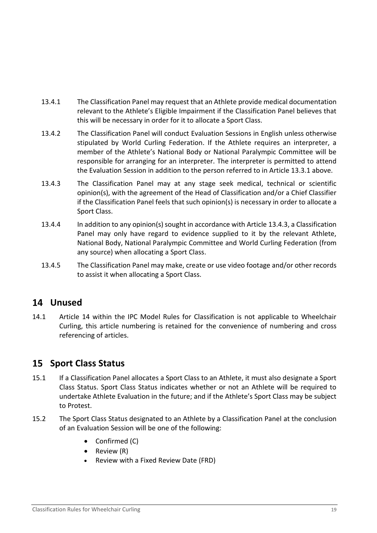- 13.4.1 The Classification Panel may request that an Athlete provide medical documentation relevant to the Athlete's Eligible Impairment if the Classification Panel believes that this will be necessary in order for it to allocate a Sport Class.
- 13.4.2 The Classification Panel will conduct Evaluation Sessions in English unless otherwise stipulated by World Curling Federation. If the Athlete requires an interpreter, a member of the Athlete's National Body or National Paralympic Committee will be responsible for arranging for an interpreter. The interpreter is permitted to attend the Evaluation Session in addition to the person referred to in Article [13.3.1](#page-17-1) above.
- <span id="page-18-2"></span>13.4.3 The Classification Panel may at any stage seek medical, technical or scientific opinion(s), with the agreement of the Head of Classification and/or a Chief Classifier if the Classification Panel feels that such opinion(s) is necessary in order to allocate a Sport Class.
- 13.4.4 In addition to any opinion(s) sought in accordance with Article [13.4.3,](#page-18-2) a Classification Panel may only have regard to evidence supplied to it by the relevant Athlete, National Body, National Paralympic Committee and World Curling Federation (from any source) when allocating a Sport Class.
- 13.4.5 The Classification Panel may make, create or use video footage and/or other records to assist it when allocating a Sport Class.

# <span id="page-18-0"></span>**Unused**

14.1 Article 14 within the IPC Model Rules for Classification is not applicable to Wheelchair Curling, this article numbering is retained for the convenience of numbering and cross referencing of articles.

# <span id="page-18-1"></span>**15 Sport Class Status**

- 15.1 If a Classification Panel allocates a Sport Class to an Athlete, it must also designate a Sport Class Status. Sport Class Status indicates whether or not an Athlete will be required to undertake Athlete Evaluation in the future; and if the Athlete's Sport Class may be subject to Protest.
- 15.2 The Sport Class Status designated to an Athlete by a Classification Panel at the conclusion of an Evaluation Session will be one of the following:
	- Confirmed (C)
	- Review (R)
	- Review with a Fixed Review Date (FRD)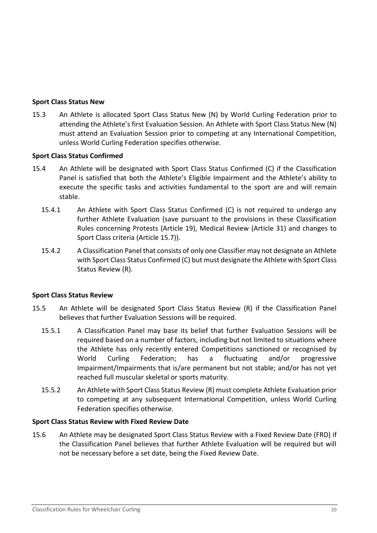#### **Sport Class Status New**

15.3 An Athlete is allocated Sport Class Status New (N) by World Curling Federation prior to attending the Athlete's first Evaluation Session. An Athlete with Sport Class Status New (N) must attend an Evaluation Session prior to competing at any International Competition, unless World Curling Federation specifies otherwise.

#### **Sport Class Status Confirmed**

- 15.4 An Athlete will be designated with Sport Class Status Confirmed (C) if the Classification Panel is satisfied that both the Athlete's Eligible Impairment and the Athlete's ability to execute the specific tasks and activities fundamental to the sport are and will remain stable.
	- 15.4.1 An Athlete with Sport Class Status Confirmed (C) is not required to undergo any further Athlete Evaluation (save pursuant to the provisions in these Classification Rules concerning Protests (Article [19\)](#page-23-2), Medical Review (Article [31\)](#page-29-1) and changes to Sport Class criteria (Article [15.7\)](#page-20-2)).
	- 15.4.2 A Classification Panel that consists of only one Classifier may not designate an Athlete with Sport Class Status Confirmed (C) but must designate the Athlete with Sport Class Status Review (R).

### <span id="page-19-0"></span>**Sport Class Status Review**

- 15.5 An Athlete will be designated Sport Class Status Review (R) if the Classification Panel believes that further Evaluation Sessions will be required.
	- 15.5.1 A Classification Panel may base its belief that further Evaluation Sessions will be required based on a number of factors, including but not limited to situations where the Athlete has only recently entered Competitions sanctioned or recognised by World Curling Federation; has a fluctuating and/or progressive Impairment/Impairments that is/are permanent but not stable; and/or has not yet reached full muscular skeletal or sports maturity.
	- 15.5.2 An Athlete with Sport Class Status Review (R) must complete Athlete Evaluation prior to competing at any subsequent International Competition, unless World Curling Federation specifies otherwise.

#### <span id="page-19-1"></span>**Sport Class Status Review with Fixed Review Date**

15.6 An Athlete may be designated Sport Class Status Review with a Fixed Review Date (FRD) if the Classification Panel believes that further Athlete Evaluation will be required but will not be necessary before a set date, being the Fixed Review Date.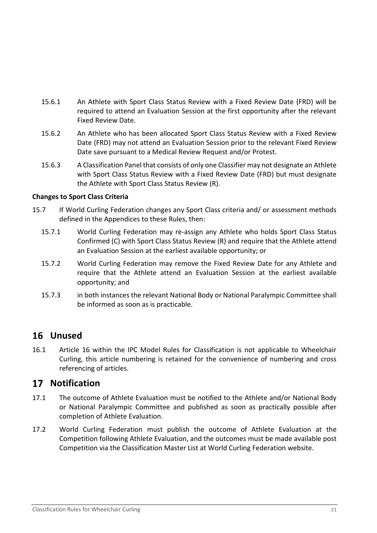- 15.6.1 An Athlete with Sport Class Status Review with a Fixed Review Date (FRD) will be required to attend an Evaluation Session at the first opportunity after the relevant Fixed Review Date.
- 15.6.2 An Athlete who has been allocated Sport Class Status Review with a Fixed Review Date (FRD) may not attend an Evaluation Session prior to the relevant Fixed Review Date save pursuant to a Medical Review Request and/or Protest.
- 15.6.3 A Classification Panel that consists of only one Classifier may not designate an Athlete with Sport Class Status Review with a Fixed Review Date (FRD) but must designate the Athlete with Sport Class Status Review (R).

### **Changes to Sport Class Criteria**

- <span id="page-20-2"></span>15.7 If World Curling Federation changes any Sport Class criteria and/ or assessment methods defined in the Appendices to these Rules, then:
	- 15.7.1 World Curling Federation may re-assign any Athlete who holds Sport Class Status Confirmed (C) with Sport Class Status Review (R) and require that the Athlete attend an Evaluation Session at the earliest available opportunity; or
	- 15.7.2 World Curling Federation may remove the Fixed Review Date for any Athlete and require that the Athlete attend an Evaluation Session at the earliest available opportunity; and
	- 15.7.3 in both instances the relevant National Body or National Paralympic Committee shall be informed as soon as is practicable.

# <span id="page-20-0"></span>**Unused**

16.1 Article 16 within the IPC Model Rules for Classification is not applicable to Wheelchair Curling, this article numbering is retained for the convenience of numbering and cross referencing of articles.

## <span id="page-20-1"></span>**Notification**

- 17.1 The outcome of Athlete Evaluation must be notified to the Athlete and/or National Body or National Paralympic Committee and published as soon as practically possible after completion of Athlete Evaluation.
- 17.2 World Curling Federation must publish the outcome of Athlete Evaluation at the Competition following Athlete Evaluation, and the outcomes must be made available post Competition via the Classification Master List at World Curling Federation website.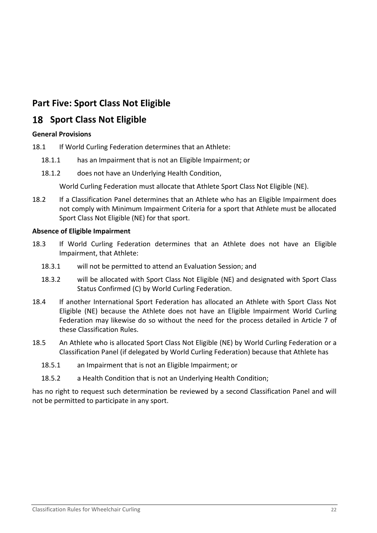# <span id="page-21-0"></span>**Part Five: Sport Class Not Eligible**

# <span id="page-21-1"></span>**18 Sport Class Not Eligible**

### <span id="page-21-2"></span>**General Provisions**

- <span id="page-21-3"></span>18.1 If World Curling Federation determines that an Athlete:
	- 18.1.1 has an Impairment that is not an Eligible Impairment; or
	- 18.1.2 does not have an Underlying Health Condition,

World Curling Federation must allocate that Athlete Sport Class Not Eligible (NE).

18.2 If a Classification Panel determines that an Athlete who has an Eligible Impairment does not comply with Minimum Impairment Criteria for a sport that Athlete must be allocated Sport Class Not Eligible (NE) for that sport.

#### **Absence of Eligible Impairment**

- 18.3 If World Curling Federation determines that an Athlete does not have an Eligible Impairment, that Athlete:
	- 18.3.1 will not be permitted to attend an Evaluation Session; and
	- 18.3.2 will be allocated with Sport Class Not Eligible (NE) and designated with Sport Class Status Confirmed (C) by World Curling Federation.
- 18.4 If another International Sport Federation has allocated an Athlete with Sport Class Not Eligible (NE) because the Athlete does not have an Eligible Impairment World Curling Federation may likewise do so without the need for the process detailed in Article [7](#page-11-2) of these Classification Rules.
- 18.5 An Athlete who is allocated Sport Class Not Eligible (NE) by World Curling Federation or a Classification Panel (if delegated by World Curling Federation) because that Athlete has
	- 18.5.1 an Impairment that is not an Eligible Impairment; or
	- 18.5.2 a Health Condition that is not an Underlying Health Condition;

has no right to request such determination be reviewed by a second Classification Panel and will not be permitted to participate in any sport.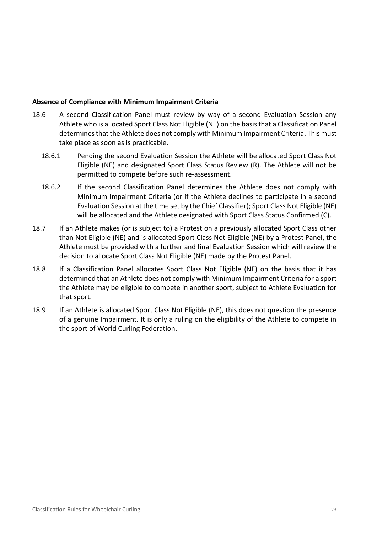#### <span id="page-22-0"></span>**Absence of Compliance with Minimum Impairment Criteria**

- 18.6 A second Classification Panel must review by way of a second Evaluation Session any Athlete who is allocated Sport Class Not Eligible (NE) on the basis that a Classification Panel determines that the Athlete does not comply with Minimum Impairment Criteria. This must take place as soon as is practicable.
	- 18.6.1 Pending the second Evaluation Session the Athlete will be allocated Sport Class Not Eligible (NE) and designated Sport Class Status Review (R). The Athlete will not be permitted to compete before such re-assessment.
	- 18.6.2 If the second Classification Panel determines the Athlete does not comply with Minimum Impairment Criteria (or if the Athlete declines to participate in a second Evaluation Session at the time set by the Chief Classifier); Sport Class Not Eligible (NE) will be allocated and the Athlete designated with Sport Class Status Confirmed (C).
- 18.7 If an Athlete makes (or is subject to) a Protest on a previously allocated Sport Class other than Not Eligible (NE) and is allocated Sport Class Not Eligible (NE) by a Protest Panel, the Athlete must be provided with a further and final Evaluation Session which will review the decision to allocate Sport Class Not Eligible (NE) made by the Protest Panel.
- 18.8 If a Classification Panel allocates Sport Class Not Eligible (NE) on the basis that it has determined that an Athlete does not comply with Minimum Impairment Criteria for a sport the Athlete may be eligible to compete in another sport, subject to Athlete Evaluation for that sport.
- 18.9 If an Athlete is allocated Sport Class Not Eligible (NE), this does not question the presence of a genuine Impairment. It is only a ruling on the eligibility of the Athlete to compete in the sport of World Curling Federation.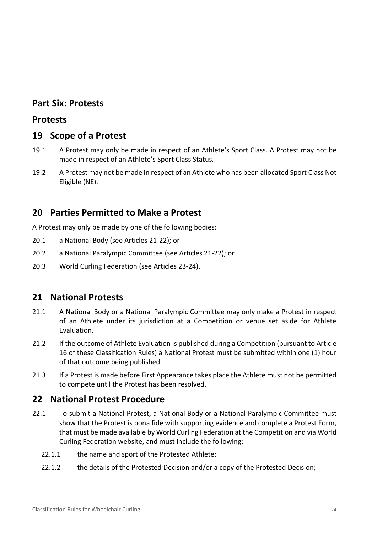## <span id="page-23-0"></span>**Part Six: Protests**

### <span id="page-23-1"></span>**Protests**

### <span id="page-23-2"></span>**19 Scope of a Protest**

- 19.1 A Protest may only be made in respect of an Athlete's Sport Class. A Protest may not be made in respect of an Athlete's Sport Class Status.
- 19.2 A Protest may not be made in respect of an Athlete who has been allocated Sport Class Not Eligible (NE).

## <span id="page-23-3"></span>**20 Parties Permitted to Make a Protest**

A Protest may only be made by one of the following bodies:

- 20.1 a National Body (see Articles [21](#page-23-4)[-22\)](#page-23-5); or
- 20.2 a National Paralympic Committee (see Articles [21-](#page-23-4)[22\)](#page-23-5); or
- 20.3 World Curling Federation (see Articles [23](#page-24-0)[-24\)](#page-25-0).

## <span id="page-23-4"></span>**21 National Protests**

- 21.1 A National Body or a National Paralympic Committee may only make a Protest in respect of an Athlete under its jurisdiction at a Competition or venue set aside for Athlete Evaluation.
- 21.2 If the outcome of Athlete Evaluation is published during a Competition (pursuant to Article [16](#page-20-0) of these Classification Rules) a National Protest must be submitted within one (1) hour of that outcome being published.
- 21.3 If a Protest is made before First Appearance takes place the Athlete must not be permitted to compete until the Protest has been resolved.

## <span id="page-23-5"></span>**22 National Protest Procedure**

- 22.1 To submit a National Protest, a National Body or a National Paralympic Committee must show that the Protest is bona fide with supporting evidence and complete a Protest Form, that must be made available by World Curling Federation at the Competition and via World Curling Federation website, and must include the following:
	- 22.1.1 the name and sport of the Protested Athlete;
	- 22.1.2 the details of the Protested Decision and/or a copy of the Protested Decision;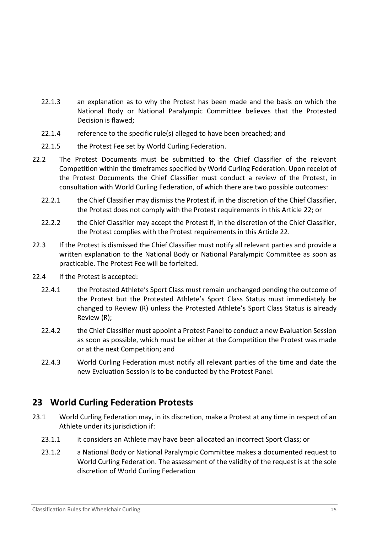- 22.1.3 an explanation as to why the Protest has been made and the basis on which the National Body or National Paralympic Committee believes that the Protested Decision is flawed;
- 22.1.4 reference to the specific rule(s) alleged to have been breached; and
- 22.1.5 the Protest Fee set by World Curling Federation.
- 22.2 The Protest Documents must be submitted to the Chief Classifier of the relevant Competition within the timeframes specified by World Curling Federation. Upon receipt of the Protest Documents the Chief Classifier must conduct a review of the Protest, in consultation with World Curling Federation, of which there are two possible outcomes:
	- 22.2.1 the Chief Classifier may dismiss the Protest if, in the discretion of the Chief Classifier, the Protest does not comply with the Protest requirements in this Article [22;](#page-23-5) or
	- 22.2.2 the Chief Classifier may accept the Protest if, in the discretion of the Chief Classifier, the Protest complies with the Protest requirements in this Article [22.](#page-23-5)
- 22.3 If the Protest is dismissed the Chief Classifier must notify all relevant parties and provide a written explanation to the National Body or National Paralympic Committee as soon as practicable. The Protest Fee will be forfeited.
- 22.4 If the Protest is accepted:
	- 22.4.1 the Protested Athlete's Sport Class must remain unchanged pending the outcome of the Protest but the Protested Athlete's Sport Class Status must immediately be changed to Review (R) unless the Protested Athlete's Sport Class Status is already Review (R);
	- 22.4.2 the Chief Classifier must appoint a Protest Panel to conduct a new Evaluation Session as soon as possible, which must be either at the Competition the Protest was made or at the next Competition; and
	- 22.4.3 World Curling Federation must notify all relevant parties of the time and date the new Evaluation Session is to be conducted by the Protest Panel.

## <span id="page-24-0"></span>**23 World Curling Federation Protests**

- 23.1 World Curling Federation may, in its discretion, make a Protest at any time in respect of an Athlete under its jurisdiction if:
	- 23.1.1 it considers an Athlete may have been allocated an incorrect Sport Class; or
	- 23.1.2 a National Body or National Paralympic Committee makes a documented request to World Curling Federation. The assessment of the validity of the request is at the sole discretion of World Curling Federation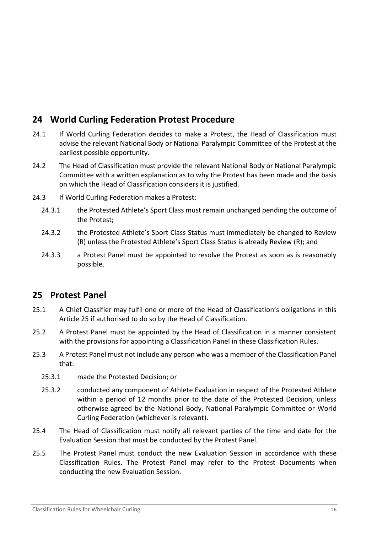# <span id="page-25-0"></span>**24 World Curling Federation Protest Procedure**

- 24.1 If World Curling Federation decides to make a Protest, the Head of Classification must advise the relevant National Body or National Paralympic Committee of the Protest at the earliest possible opportunity.
- 24.2 The Head of Classification must provide the relevant National Body or National Paralympic Committee with a written explanation as to why the Protest has been made and the basis on which the Head of Classification considers it is justified.
- 24.3 If World Curling Federation makes a Protest:
	- 24.3.1 the Protested Athlete's Sport Class must remain unchanged pending the outcome of the Protest;
	- 24.3.2 the Protested Athlete's Sport Class Status must immediately be changed to Review (R) unless the Protested Athlete's Sport Class Status is already Review (R); and
	- 24.3.3 a Protest Panel must be appointed to resolve the Protest as soon as is reasonably possible.

## <span id="page-25-1"></span>**25 Protest Panel**

- 25.1 A Chief Classifier may fulfil one or more of the Head of Classification's obligations in this Article [25](#page-25-1) if authorised to do so by the Head of Classification.
- 25.2 A Protest Panel must be appointed by the Head of Classification in a manner consistent with the provisions for appointing a Classification Panel in these Classification Rules.
- 25.3 A Protest Panel must not include any person who was a member of the Classification Panel that:
	- 25.3.1 made the Protested Decision; or
	- 25.3.2 conducted any component of Athlete Evaluation in respect of the Protested Athlete within a period of 12 months prior to the date of the Protested Decision, unless otherwise agreed by the National Body, National Paralympic Committee or World Curling Federation (whichever is relevant).
- 25.4 The Head of Classification must notify all relevant parties of the time and date for the Evaluation Session that must be conducted by the Protest Panel.
- 25.5 The Protest Panel must conduct the new Evaluation Session in accordance with these Classification Rules. The Protest Panel may refer to the Protest Documents when conducting the new Evaluation Session.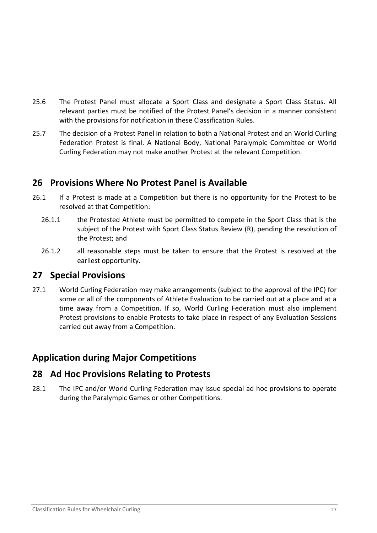- 25.6 The Protest Panel must allocate a Sport Class and designate a Sport Class Status. All relevant parties must be notified of the Protest Panel's decision in a manner consistent with the provisions for notification in these Classification Rules.
- 25.7 The decision of a Protest Panel in relation to both a National Protest and an World Curling Federation Protest is final. A National Body, National Paralympic Committee or World Curling Federation may not make another Protest at the relevant Competition.

## <span id="page-26-0"></span>**26 Provisions Where No Protest Panel is Available**

- 26.1 If a Protest is made at a Competition but there is no opportunity for the Protest to be resolved at that Competition:
	- 26.1.1 the Protested Athlete must be permitted to compete in the Sport Class that is the subject of the Protest with Sport Class Status Review (R), pending the resolution of the Protest; and
	- 26.1.2 all reasonable steps must be taken to ensure that the Protest is resolved at the earliest opportunity.

### <span id="page-26-1"></span>**27 Special Provisions**

27.1 World Curling Federation may make arrangements (subject to the approval of the IPC) for some or all of the components of Athlete Evaluation to be carried out at a place and at a time away from a Competition. If so, World Curling Federation must also implement Protest provisions to enable Protests to take place in respect of any Evaluation Sessions carried out away from a Competition.

# <span id="page-26-2"></span>**Application during Major Competitions**

## <span id="page-26-3"></span>**28 Ad Hoc Provisions Relating to Protests**

28.1 The IPC and/or World Curling Federation may issue special ad hoc provisions to operate during the Paralympic Games or other Competitions.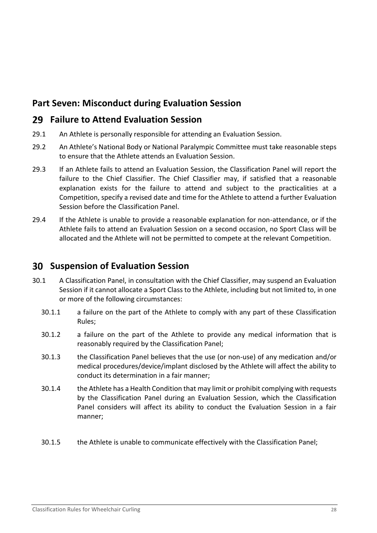# <span id="page-27-0"></span>**Part Seven: Misconduct during Evaluation Session**

## <span id="page-27-1"></span>**Failure to Attend Evaluation Session**

- 29.1 An Athlete is personally responsible for attending an Evaluation Session.
- 29.2 An Athlete's National Body or National Paralympic Committee must take reasonable steps to ensure that the Athlete attends an Evaluation Session.
- 29.3 If an Athlete fails to attend an Evaluation Session, the Classification Panel will report the failure to the Chief Classifier. The Chief Classifier may, if satisfied that a reasonable explanation exists for the failure to attend and subject to the practicalities at a Competition, specify a revised date and time for the Athlete to attend a further Evaluation Session before the Classification Panel.
- 29.4 If the Athlete is unable to provide a reasonable explanation for non-attendance, or if the Athlete fails to attend an Evaluation Session on a second occasion, no Sport Class will be allocated and the Athlete will not be permitted to compete at the relevant Competition.

# <span id="page-27-2"></span>**Suspension of Evaluation Session**

- 30.1 A Classification Panel, in consultation with the Chief Classifier, may suspend an Evaluation Session if it cannot allocate a Sport Class to the Athlete, including but not limited to, in one or more of the following circumstances:
	- 30.1.1 a failure on the part of the Athlete to comply with any part of these Classification Rules;
	- 30.1.2 a failure on the part of the Athlete to provide any medical information that is reasonably required by the Classification Panel;
	- 30.1.3 the Classification Panel believes that the use (or non-use) of any medication and/or medical procedures/device/implant disclosed by the Athlete will affect the ability to conduct its determination in a fair manner;
	- 30.1.4 the Athlete has a Health Condition that may limit or prohibit complying with requests by the Classification Panel during an Evaluation Session, which the Classification Panel considers will affect its ability to conduct the Evaluation Session in a fair manner;
	- 30.1.5 the Athlete is unable to communicate effectively with the Classification Panel;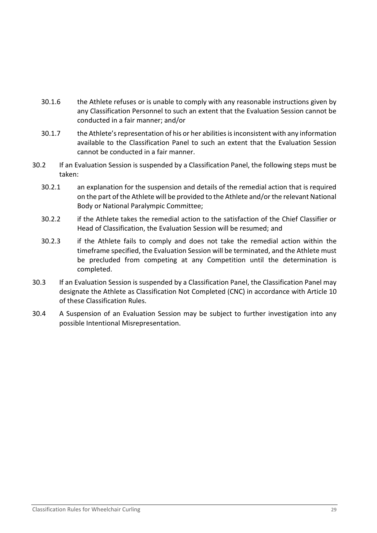- 30.1.6 the Athlete refuses or is unable to comply with any reasonable instructions given by any Classification Personnel to such an extent that the Evaluation Session cannot be conducted in a fair manner; and/or
- 30.1.7 the Athlete's representation of his or her abilities is inconsistent with any information available to the Classification Panel to such an extent that the Evaluation Session cannot be conducted in a fair manner.
- 30.2 If an Evaluation Session is suspended by a Classification Panel, the following steps must be taken:
	- 30.2.1 an explanation for the suspension and details of the remedial action that is required on the part of the Athlete will be provided to the Athlete and/or the relevant National Body or National Paralympic Committee;
	- 30.2.2 if the Athlete takes the remedial action to the satisfaction of the Chief Classifier or Head of Classification, the Evaluation Session will be resumed; and
	- 30.2.3 if the Athlete fails to comply and does not take the remedial action within the timeframe specified, the Evaluation Session will be terminated, and the Athlete must be precluded from competing at any Competition until the determination is completed.
- 30.3 If an Evaluation Session is suspended by a Classification Panel, the Classification Panel may designate the Athlete as Classification Not Completed (CNC) in accordance with Article [10](#page-15-0) of these Classification Rules.
- 30.4 A Suspension of an Evaluation Session may be subject to further investigation into any possible Intentional Misrepresentation.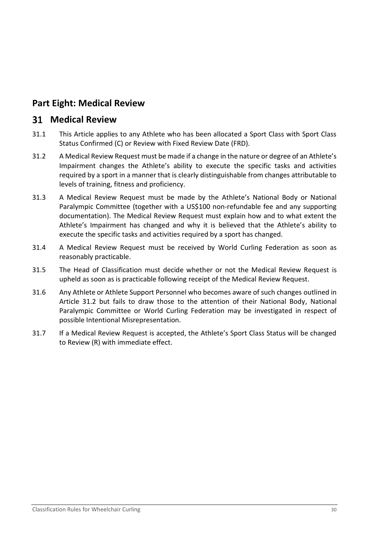# <span id="page-29-0"></span>**Part Eight: Medical Review**

### <span id="page-29-1"></span>**Medical Review**

- 31.1 This Article applies to any Athlete who has been allocated a Sport Class with Sport Class Status Confirmed (C) or Review with Fixed Review Date (FRD).
- <span id="page-29-2"></span>31.2 A Medical Review Request must be made if a change in the nature or degree of an Athlete's Impairment changes the Athlete's ability to execute the specific tasks and activities required by a sport in a manner that is clearly distinguishable from changes attributable to levels of training, fitness and proficiency.
- 31.3 A Medical Review Request must be made by the Athlete's National Body or National Paralympic Committee (together with a US\$100 non-refundable fee and any supporting documentation). The Medical Review Request must explain how and to what extent the Athlete's Impairment has changed and why it is believed that the Athlete's ability to execute the specific tasks and activities required by a sport has changed.
- 31.4 A Medical Review Request must be received by World Curling Federation as soon as reasonably practicable.
- 31.5 The Head of Classification must decide whether or not the Medical Review Request is upheld as soon as is practicable following receipt of the Medical Review Request.
- 31.6 Any Athlete or Athlete Support Personnel who becomes aware of such changes outlined in Article [31.2](#page-29-2) but fails to draw those to the attention of their National Body, National Paralympic Committee or World Curling Federation may be investigated in respect of possible Intentional Misrepresentation.
- 31.7 If a Medical Review Request is accepted, the Athlete's Sport Class Status will be changed to Review (R) with immediate effect.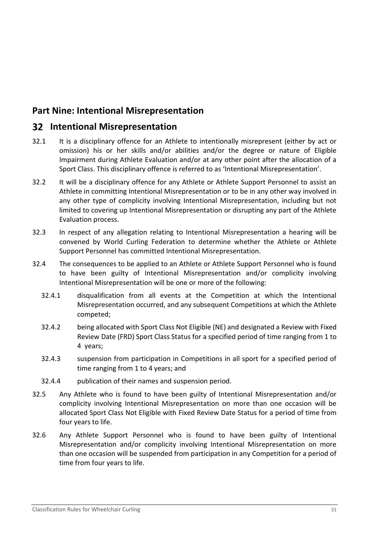# <span id="page-30-0"></span>**Part Nine: Intentional Misrepresentation**

### <span id="page-30-1"></span>**Intentional Misrepresentation**

- 32.1 It is a disciplinary offence for an Athlete to intentionally misrepresent (either by act or omission) his or her skills and/or abilities and/or the degree or nature of Eligible Impairment during Athlete Evaluation and/or at any other point after the allocation of a Sport Class. This disciplinary offence is referred to as 'Intentional Misrepresentation'.
- 32.2 It will be a disciplinary offence for any Athlete or Athlete Support Personnel to assist an Athlete in committing Intentional Misrepresentation or to be in any other way involved in any other type of complicity involving Intentional Misrepresentation, including but not limited to covering up Intentional Misrepresentation or disrupting any part of the Athlete Evaluation process.
- 32.3 In respect of any allegation relating to Intentional Misrepresentation a hearing will be convened by World Curling Federation to determine whether the Athlete or Athlete Support Personnel has committed Intentional Misrepresentation.
- 32.4 The consequences to be applied to an Athlete or Athlete Support Personnel who is found to have been guilty of Intentional Misrepresentation and/or complicity involving Intentional Misrepresentation will be one or more of the following:
	- 32.4.1 disqualification from all events at the Competition at which the Intentional Misrepresentation occurred, and any subsequent Competitions at which the Athlete competed;
	- 32.4.2 being allocated with Sport Class Not Eligible (NE) and designated a Review with Fixed Review Date (FRD) Sport Class Status for a specified period of time ranging from 1 to 4 years;
	- 32.4.3 suspension from participation in Competitions in all sport for a specified period of time ranging from 1 to 4 years; and
	- 32.4.4 publication of their names and suspension period.
- 32.5 Any Athlete who is found to have been guilty of Intentional Misrepresentation and/or complicity involving Intentional Misrepresentation on more than one occasion will be allocated Sport Class Not Eligible with Fixed Review Date Status for a period of time from four years to life.
- 32.6 Any Athlete Support Personnel who is found to have been guilty of Intentional Misrepresentation and/or complicity involving Intentional Misrepresentation on more than one occasion will be suspended from participation in any Competition for a period of time from four years to life.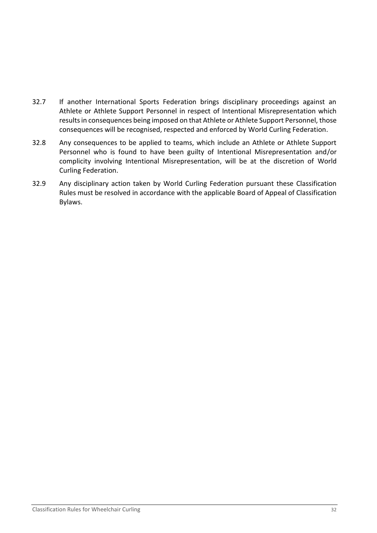- 32.7 If another International Sports Federation brings disciplinary proceedings against an Athlete or Athlete Support Personnel in respect of Intentional Misrepresentation which results in consequences being imposed on that Athlete or Athlete Support Personnel, those consequences will be recognised, respected and enforced by World Curling Federation.
- 32.8 Any consequences to be applied to teams, which include an Athlete or Athlete Support Personnel who is found to have been guilty of Intentional Misrepresentation and/or complicity involving Intentional Misrepresentation, will be at the discretion of World Curling Federation.
- 32.9 Any disciplinary action taken by World Curling Federation pursuant these Classification Rules must be resolved in accordance with the applicable Board of Appeal of Classification Bylaws.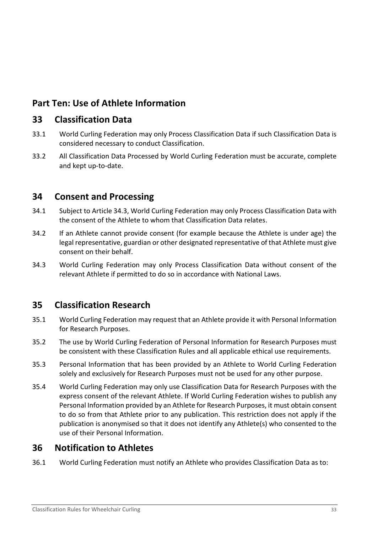# <span id="page-32-0"></span>**Part Ten: Use of Athlete Information**

### <span id="page-32-1"></span>**33 Classification Data**

- 33.1 World Curling Federation may only Process Classification Data if such Classification Data is considered necessary to conduct Classification.
- 33.2 All Classification Data Processed by World Curling Federation must be accurate, complete and kept up-to-date.

## <span id="page-32-2"></span>**34 Consent and Processing**

- 34.1 Subject to Article [34.3,](#page-32-5) World Curling Federation may only Process Classification Data with the consent of the Athlete to whom that Classification Data relates.
- 34.2 If an Athlete cannot provide consent (for example because the Athlete is under age) the legal representative, guardian or other designated representative of that Athlete must give consent on their behalf.
- <span id="page-32-5"></span>34.3 World Curling Federation may only Process Classification Data without consent of the relevant Athlete if permitted to do so in accordance with National Laws.

## <span id="page-32-3"></span>**35 Classification Research**

- 35.1 World Curling Federation may request that an Athlete provide it with Personal Information for Research Purposes.
- 35.2 The use by World Curling Federation of Personal Information for Research Purposes must be consistent with these Classification Rules and all applicable ethical use requirements.
- 35.3 Personal Information that has been provided by an Athlete to World Curling Federation solely and exclusively for Research Purposes must not be used for any other purpose.
- 35.4 World Curling Federation may only use Classification Data for Research Purposes with the express consent of the relevant Athlete. If World Curling Federation wishes to publish any Personal Information provided by an Athlete for Research Purposes, it must obtain consent to do so from that Athlete prior to any publication. This restriction does not apply if the publication is anonymised so that it does not identify any Athlete(s) who consented to the use of their Personal Information.

## <span id="page-32-4"></span>**36 Notification to Athletes**

36.1 World Curling Federation must notify an Athlete who provides Classification Data as to: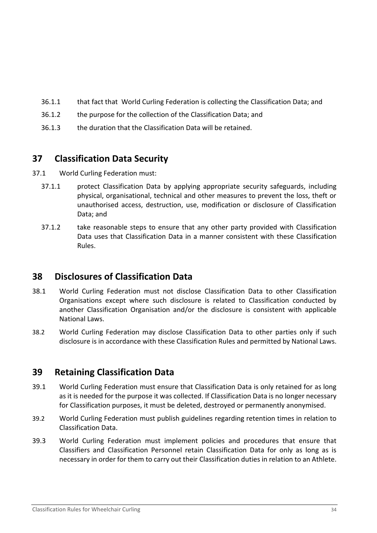- 36.1.1 that fact that World Curling Federation is collecting the Classification Data; and
- 36.1.2 the purpose for the collection of the Classification Data; and
- 36.1.3 the duration that the Classification Data will be retained.

# <span id="page-33-0"></span>**37 Classification Data Security**

- 37.1 World Curling Federation must:
	- 37.1.1 protect Classification Data by applying appropriate security safeguards, including physical, organisational, technical and other measures to prevent the loss, theft or unauthorised access, destruction, use, modification or disclosure of Classification Data; and
	- 37.1.2 take reasonable steps to ensure that any other party provided with Classification Data uses that Classification Data in a manner consistent with these Classification Rules.

# <span id="page-33-1"></span>**38 Disclosures of Classification Data**

- 38.1 World Curling Federation must not disclose Classification Data to other Classification Organisations except where such disclosure is related to Classification conducted by another Classification Organisation and/or the disclosure is consistent with applicable National Laws.
- 38.2 World Curling Federation may disclose Classification Data to other parties only if such disclosure is in accordance with these Classification Rules and permitted by National Laws.

# <span id="page-33-2"></span>**39 Retaining Classification Data**

- 39.1 World Curling Federation must ensure that Classification Data is only retained for as long as it is needed for the purpose it was collected. If Classification Data is no longer necessary for Classification purposes, it must be deleted, destroyed or permanently anonymised.
- 39.2 World Curling Federation must publish guidelines regarding retention times in relation to Classification Data.
- 39.3 World Curling Federation must implement policies and procedures that ensure that Classifiers and Classification Personnel retain Classification Data for only as long as is necessary in order for them to carry out their Classification duties in relation to an Athlete.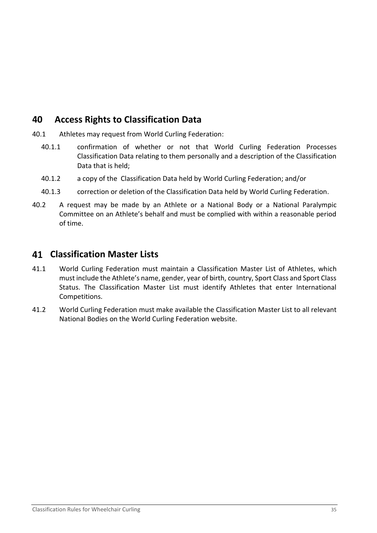# <span id="page-34-0"></span>**40 Access Rights to Classification Data**

- 40.1 Athletes may request from World Curling Federation:
	- 40.1.1 confirmation of whether or not that World Curling Federation Processes Classification Data relating to them personally and a description of the Classification Data that is held;
	- 40.1.2 a copy of the Classification Data held by World Curling Federation; and/or
	- 40.1.3 correction or deletion of the Classification Data held by World Curling Federation.
- 40.2 A request may be made by an Athlete or a National Body or a National Paralympic Committee on an Athlete's behalf and must be complied with within a reasonable period of time.

## <span id="page-34-1"></span>**Classification Master Lists**

- 41.1 World Curling Federation must maintain a Classification Master List of Athletes, which must include the Athlete's name, gender, year of birth, country, Sport Class and Sport Class Status. The Classification Master List must identify Athletes that enter International Competitions.
- 41.2 World Curling Federation must make available the Classification Master List to all relevant National Bodies on the World Curling Federation website.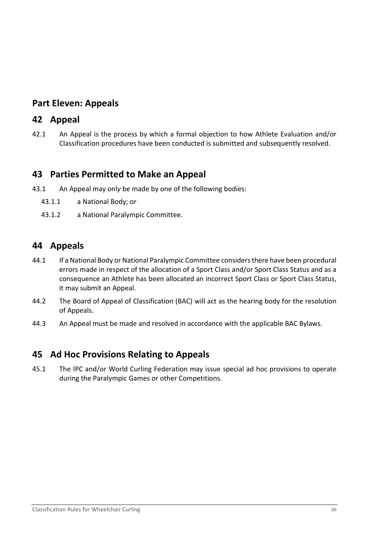# <span id="page-35-0"></span>**Part Eleven: Appeals**

### <span id="page-35-1"></span>**42 Appeal**

42.1 An Appeal is the process by which a formal objection to how Athlete Evaluation and/or Classification procedures have been conducted is submitted and subsequently resolved.

### <span id="page-35-2"></span>**43 Parties Permitted to Make an Appeal**

- 43.1 An Appeal may onl*y* be made by one of the following bodies:
	- 43.1.1 a National Body; or
	- 43.1.2 a National Paralympic Committee.

### <span id="page-35-3"></span>**44 Appeals**

- 44.1 If a National Body or National Paralympic Committee considers there have been procedural errors made in respect of the allocation of a Sport Class and/or Sport Class Status and as a consequence an Athlete has been allocated an incorrect Sport Class or Sport Class Status, it may submit an Appeal.
- 44.2 The Board of Appeal of Classification (BAC) will act as the hearing body for the resolution of Appeals.
- 44.3 An Appeal must be made and resolved in accordance with the applicable BAC Bylaws.

## <span id="page-35-4"></span>**45 Ad Hoc Provisions Relating to Appeals**

45.1 The IPC and/or World Curling Federation may issue special ad hoc provisions to operate during the Paralympic Games or other Competitions.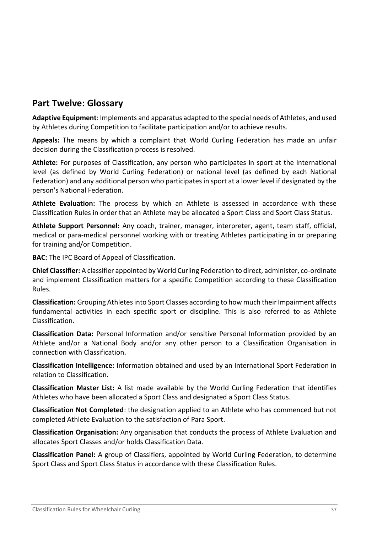# <span id="page-36-0"></span>**Part Twelve: Glossary**

**Adaptive Equipment**: Implements and apparatus adapted to the special needs of Athletes, and used by Athletes during Competition to facilitate participation and/or to achieve results.

**Appeals:** The means by which a complaint that World Curling Federation has made an unfair decision during the Classification process is resolved.

**Athlete:** For purposes of Classification, any person who participates in sport at the international level (as defined by World Curling Federation) or national level (as defined by each National Federation) and any additional person who participates in sport at a lower level if designated by the person's National Federation.

**Athlete Evaluation:** The process by which an Athlete is assessed in accordance with these Classification Rules in order that an Athlete may be allocated a Sport Class and Sport Class Status.

**Athlete Support Personnel:** Any coach, trainer, manager, interpreter, agent, team staff, official, medical or para-medical personnel working with or treating Athletes participating in or preparing for training and/or Competition.

**BAC:** The IPC Board of Appeal of Classification.

**Chief Classifier:** A classifier appointed by World Curling Federation to direct, administer, co-ordinate and implement Classification matters for a specific Competition according to these Classification Rules.

**Classification:** Grouping Athletes into Sport Classes according to how much their Impairment affects fundamental activities in each specific sport or discipline. This is also referred to as Athlete Classification.

**Classification Data:** Personal Information and/or sensitive Personal Information provided by an Athlete and/or a National Body and/or any other person to a Classification Organisation in connection with Classification.

**Classification Intelligence:** Information obtained and used by an International Sport Federation in relation to Classification.

**Classification Master List:** A list made available by the World Curling Federation that identifies Athletes who have been allocated a Sport Class and designated a Sport Class Status.

**Classification Not Completed**: the designation applied to an Athlete who has commenced but not completed Athlete Evaluation to the satisfaction of Para Sport.

**Classification Organisation:** Any organisation that conducts the process of Athlete Evaluation and allocates Sport Classes and/or holds Classification Data.

**Classification Panel:** A group of Classifiers, appointed by World Curling Federation, to determine Sport Class and Sport Class Status in accordance with these Classification Rules.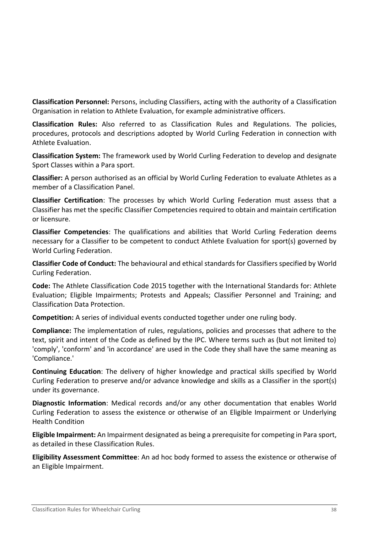**Classification Personnel:** Persons, including Classifiers, acting with the authority of a Classification Organisation in relation to Athlete Evaluation, for example administrative officers.

**Classification Rules:** Also referred to as Classification Rules and Regulations. The policies, procedures, protocols and descriptions adopted by World Curling Federation in connection with Athlete Evaluation.

**Classification System:** The framework used by World Curling Federation to develop and designate Sport Classes within a Para sport.

**Classifier:** A person authorised as an official by World Curling Federation to evaluate Athletes as a member of a Classification Panel.

**Classifier Certification**: The processes by which World Curling Federation must assess that a Classifier has met the specific Classifier Competencies required to obtain and maintain certification or licensure.

**Classifier Competencies**: The qualifications and abilities that World Curling Federation deems necessary for a Classifier to be competent to conduct Athlete Evaluation for sport(s) governed by World Curling Federation.

**Classifier Code of Conduct:** The behavioural and ethical standards for Classifiers specified by World Curling Federation.

**Code:** The Athlete Classification Code 2015 together with the International Standards for: Athlete Evaluation; Eligible Impairments; Protests and Appeals; Classifier Personnel and Training; and Classification Data Protection.

**Competition:** A series of individual events conducted together under one ruling body.

**Compliance:** The implementation of rules, regulations, policies and processes that adhere to the text, spirit and intent of the Code as defined by the IPC. Where terms such as (but not limited to) 'comply', 'conform' and 'in accordance' are used in the Code they shall have the same meaning as 'Compliance.'

**Continuing Education**: The delivery of higher knowledge and practical skills specified by World Curling Federation to preserve and/or advance knowledge and skills as a Classifier in the sport(s) under its governance.

**Diagnostic Information**: Medical records and/or any other documentation that enables World Curling Federation to assess the existence or otherwise of an Eligible Impairment or Underlying Health Condition

**Eligible Impairment:** An Impairment designated as being a prerequisite for competing in Para sport, as detailed in these Classification Rules.

**Eligibility Assessment Committee**: An ad hoc body formed to assess the existence or otherwise of an Eligible Impairment.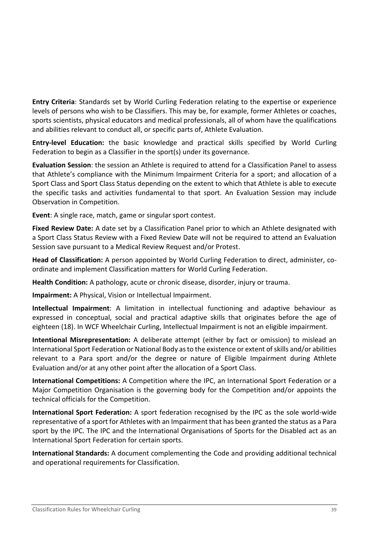**Entry Criteria**: Standards set by World Curling Federation relating to the expertise or experience levels of persons who wish to be Classifiers. This may be, for example, former Athletes or coaches, sports scientists, physical educators and medical professionals, all of whom have the qualifications and abilities relevant to conduct all, or specific parts of, Athlete Evaluation.

**Entry-level Education:** the basic knowledge and practical skills specified by World Curling Federation to begin as a Classifier in the sport(s) under its governance.

**Evaluation Session**: the session an Athlete is required to attend for a Classification Panel to assess that Athlete's compliance with the Minimum Impairment Criteria for a sport; and allocation of a Sport Class and Sport Class Status depending on the extent to which that Athlete is able to execute the specific tasks and activities fundamental to that sport. An Evaluation Session may include Observation in Competition.

**Event**: A single race, match, game or singular sport contest.

**Fixed Review Date:** A date set by a Classification Panel prior to which an Athlete designated with a Sport Class Status Review with a Fixed Review Date will not be required to attend an Evaluation Session save pursuant to a Medical Review Request and/or Protest.

**Head of Classification:** A person appointed by World Curling Federation to direct, administer, coordinate and implement Classification matters for World Curling Federation.

**Health Condition:** A pathology, acute or chronic disease, disorder, injury or trauma.

**Impairment:** A Physical, Vision or Intellectual Impairment.

**Intellectual Impairment**: A limitation in intellectual functioning and adaptive behaviour as expressed in conceptual, social and practical adaptive skills that originates before the age of eighteen (18). In WCF Wheelchair Curling, Intellectual Impairment is not an eligible impairment.

**Intentional Misrepresentation:** A deliberate attempt (either by fact or omission) to mislead an International Sport Federation or National Body as to the existence or extent of skills and/or abilities relevant to a Para sport and/or the degree or nature of Eligible Impairment during Athlete Evaluation and/or at any other point after the allocation of a Sport Class.

**International Competitions:** A Competition where the IPC, an International Sport Federation or a Major Competition Organisation is the governing body for the Competition and/or appoints the technical officials for the Competition.

**International Sport Federation:** A sport federation recognised by the IPC as the sole world-wide representative of a sport for Athletes with an Impairment that has been granted the status as a Para sport by the IPC. The IPC and the International Organisations of Sports for the Disabled act as an International Sport Federation for certain sports.

**International Standards:** A document complementing the Code and providing additional technical and operational requirements for Classification.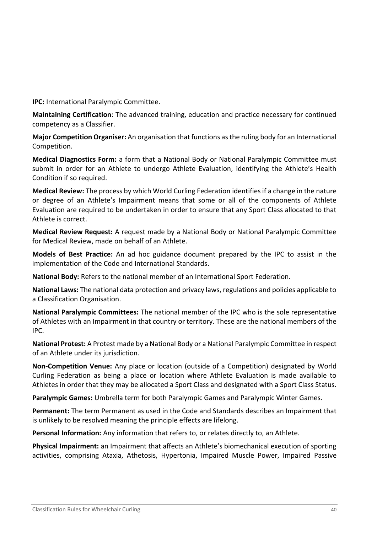**IPC:** International Paralympic Committee.

**Maintaining Certification**: The advanced training, education and practice necessary for continued competency as a Classifier.

**Major Competition Organiser:** An organisation that functions as the ruling body for an International Competition.

**Medical Diagnostics Form:** a form that a National Body or National Paralympic Committee must submit in order for an Athlete to undergo Athlete Evaluation, identifying the Athlete's Health Condition if so required.

**Medical Review:** The process by which World Curling Federation identifies if a change in the nature or degree of an Athlete's Impairment means that some or all of the components of Athlete Evaluation are required to be undertaken in order to ensure that any Sport Class allocated to that Athlete is correct.

**Medical Review Request:** A request made by a National Body or National Paralympic Committee for Medical Review, made on behalf of an Athlete.

**Models of Best Practice:** An ad hoc guidance document prepared by the IPC to assist in the implementation of the Code and International Standards.

**National Body:** Refers to the national member of an International Sport Federation.

**National Laws:** The national data protection and privacy laws, regulations and policies applicable to a Classification Organisation.

**National Paralympic Committees:** The national member of the IPC who is the sole representative of Athletes with an Impairment in that country or territory. These are the national members of the IPC.

**National Protest:** A Protest made by a National Body or a National Paralympic Committee in respect of an Athlete under its jurisdiction.

**Non-Competition Venue:** Any place or location (outside of a Competition) designated by World Curling Federation as being a place or location where Athlete Evaluation is made available to Athletes in order that they may be allocated a Sport Class and designated with a Sport Class Status.

**Paralympic Games:** Umbrella term for both Paralympic Games and Paralympic Winter Games.

**Permanent:** The term Permanent as used in the Code and Standards describes an Impairment that is unlikely to be resolved meaning the principle effects are lifelong.

**Personal Information:** Any information that refers to, or relates directly to, an Athlete.

**Physical Impairment:** an Impairment that affects an Athlete's biomechanical execution of sporting activities, comprising Ataxia, Athetosis, Hypertonia, Impaired Muscle Power, Impaired Passive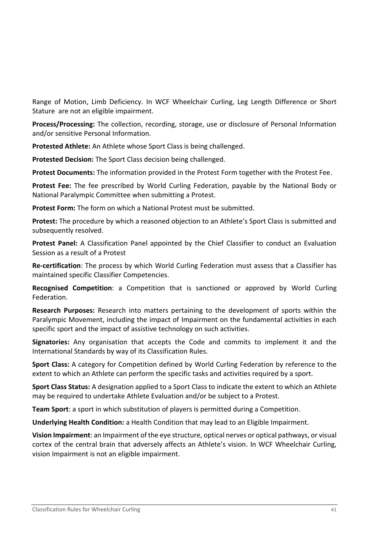Range of Motion, Limb Deficiency. In WCF Wheelchair Curling, Leg Length Difference or Short Stature are not an eligible impairment.

**Process/Processing:** The collection, recording, storage, use or disclosure of Personal Information and/or sensitive Personal Information.

**Protested Athlete:** An Athlete whose Sport Class is being challenged.

**Protested Decision:** The Sport Class decision being challenged.

**Protest Documents:** The information provided in the Protest Form together with the Protest Fee.

**Protest Fee:** The fee prescribed by World Curling Federation, payable by the National Body or National Paralympic Committee when submitting a Protest.

**Protest Form:** The form on which a National Protest must be submitted.

**Protest:** The procedure by which a reasoned objection to an Athlete's Sport Class is submitted and subsequently resolved.

**Protest Panel:** A Classification Panel appointed by the Chief Classifier to conduct an Evaluation Session as a result of a Protest

**Re-certification**: The process by which World Curling Federation must assess that a Classifier has maintained specific Classifier Competencies.

**Recognised Competition**: a Competition that is sanctioned or approved by World Curling Federation.

**Research Purposes:** Research into matters pertaining to the development of sports within the Paralympic Movement, including the impact of Impairment on the fundamental activities in each specific sport and the impact of assistive technology on such activities.

**Signatories:** Any organisation that accepts the Code and commits to implement it and the International Standards by way of its Classification Rules.

**Sport Class:** A category for Competition defined by World Curling Federation by reference to the extent to which an Athlete can perform the specific tasks and activities required by a sport.

**Sport Class Status:** A designation applied to a Sport Class to indicate the extent to which an Athlete may be required to undertake Athlete Evaluation and/or be subject to a Protest.

**Team Sport**: a sport in which substitution of players is permitted during a Competition.

**Underlying Health Condition:** a Health Condition that may lead to an Eligible Impairment.

**Vision Impairment**: an Impairment of the eye structure, optical nerves or optical pathways, or visual cortex of the central brain that adversely affects an Athlete's vision. In WCF Wheelchair Curling, vision Impairment is not an eligible impairment.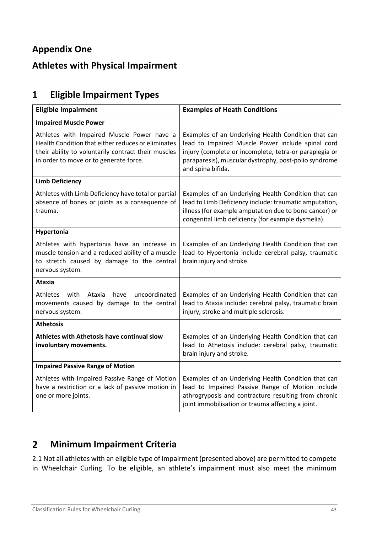# <span id="page-42-0"></span>**Appendix One**

# <span id="page-42-1"></span>**Athletes with Physical Impairment**

# <span id="page-42-2"></span>**1 Eligible Impairment Types**

| <b>Eligible Impairment</b>                                                                                                                                                                        | <b>Examples of Heath Conditions</b>                                                                                                                                                                                                              |  |
|---------------------------------------------------------------------------------------------------------------------------------------------------------------------------------------------------|--------------------------------------------------------------------------------------------------------------------------------------------------------------------------------------------------------------------------------------------------|--|
| <b>Impaired Muscle Power</b>                                                                                                                                                                      |                                                                                                                                                                                                                                                  |  |
| Athletes with Impaired Muscle Power have a<br>Health Condition that either reduces or eliminates<br>their ability to voluntarily contract their muscles<br>in order to move or to generate force. | Examples of an Underlying Health Condition that can<br>lead to Impaired Muscle Power include spinal cord<br>injury (complete or incomplete, tetra-or paraplegia or<br>paraparesis), muscular dystrophy, post-polio syndrome<br>and spina bifida. |  |
| <b>Limb Deficiency</b>                                                                                                                                                                            |                                                                                                                                                                                                                                                  |  |
| Athletes with Limb Deficiency have total or partial<br>absence of bones or joints as a consequence of<br>trauma.                                                                                  | Examples of an Underlying Health Condition that can<br>lead to Limb Deficiency include: traumatic amputation,<br>illness (for example amputation due to bone cancer) or<br>congenital limb deficiency (for example dysmelia).                    |  |
| Hypertonia                                                                                                                                                                                        |                                                                                                                                                                                                                                                  |  |
| Athletes with hypertonia have an increase in<br>muscle tension and a reduced ability of a muscle<br>to stretch caused by damage to the central<br>nervous system.                                 | Examples of an Underlying Health Condition that can<br>lead to Hypertonia include cerebral palsy, traumatic<br>brain injury and stroke.                                                                                                          |  |
| <b>Ataxia</b>                                                                                                                                                                                     |                                                                                                                                                                                                                                                  |  |
| Athletes<br>Ataxia<br>uncoordinated<br>with<br>have<br>movements caused by damage to the central<br>nervous system.                                                                               | Examples of an Underlying Health Condition that can<br>lead to Ataxia include: cerebral palsy, traumatic brain<br>injury, stroke and multiple sclerosis.                                                                                         |  |
| <b>Athetosis</b>                                                                                                                                                                                  |                                                                                                                                                                                                                                                  |  |
| Athletes with Athetosis have continual slow<br>involuntary movements.                                                                                                                             | Examples of an Underlying Health Condition that can<br>lead to Athetosis include: cerebral palsy, traumatic<br>brain injury and stroke.                                                                                                          |  |
| <b>Impaired Passive Range of Motion</b>                                                                                                                                                           |                                                                                                                                                                                                                                                  |  |
| Athletes with Impaired Passive Range of Motion<br>have a restriction or a lack of passive motion in<br>one or more joints.                                                                        | Examples of an Underlying Health Condition that can<br>lead to Impaired Passive Range of Motion include<br>athrogryposis and contracture resulting from chronic<br>joint immobilisation or trauma affecting a joint.                             |  |

#### <span id="page-42-3"></span>**Minimum Impairment Criteria**  $2<sup>1</sup>$

2.1 Not all athletes with an eligible type of impairment (presented above) are permitted to compete in Wheelchair Curling. To be eligible, an athlete's impairment must also meet the minimum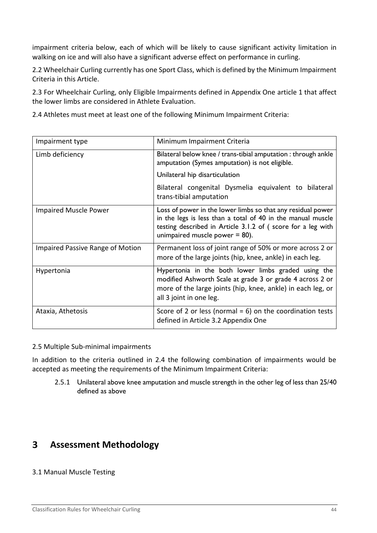impairment criteria below, each of which will be likely to cause significant activity limitation in walking on ice and will also have a significant adverse effect on performance in curling.

2.2 Wheelchair Curling currently has one Sport Class, which is defined by the Minimum Impairment Criteria in this Article.

2.3 For Wheelchair Curling, only Eligible Impairments defined in Appendix One article 1 that affect the lower limbs are considered in Athlete Evaluation.

2.4 Athletes must meet at least one of the following Minimum Impairment Criteria:

| Impairment type                  | Minimum Impairment Criteria                                                                                                                                                                                                    |
|----------------------------------|--------------------------------------------------------------------------------------------------------------------------------------------------------------------------------------------------------------------------------|
| Limb deficiency                  | Bilateral below knee / trans-tibial amputation : through ankle<br>amputation (Symes amputation) is not eligible.                                                                                                               |
|                                  | Unilateral hip disarticulation                                                                                                                                                                                                 |
|                                  | Bilateral congenital Dysmelia equivalent to bilateral<br>trans-tibial amputation                                                                                                                                               |
| <b>Impaired Muscle Power</b>     | Loss of power in the lower limbs so that any residual power<br>in the legs is less than a total of 40 in the manual muscle<br>testing described in Article 3.1.2 of (score for a leg with<br>unimpaired muscle power $= 80$ ). |
| Impaired Passive Range of Motion | Permanent loss of joint range of 50% or more across 2 or<br>more of the large joints (hip, knee, ankle) in each leg.                                                                                                           |
| Hypertonia                       | Hypertonia in the both lower limbs graded using the<br>modified Ashworth Scale at grade 3 or grade 4 across 2 or<br>more of the large joints (hip, knee, ankle) in each leg, or<br>all 3 joint in one leg.                     |
| Ataxia, Athetosis                | Score of 2 or less (normal = $6$ ) on the coordination tests<br>defined in Article 3.2 Appendix One                                                                                                                            |

2.5 Multiple Sub-minimal impairments

In addition to the criteria outlined in 2.4 the following combination of impairments would be accepted as meeting the requirements of the Minimum Impairment Criteria:

2.5.1 Unilateral above knee amputation and muscle strength in the other leg of less than 25/40 defined as above

#### <span id="page-43-0"></span> $\overline{\mathbf{3}}$ **Assessment Methodology**

### 3.1 Manual Muscle Testing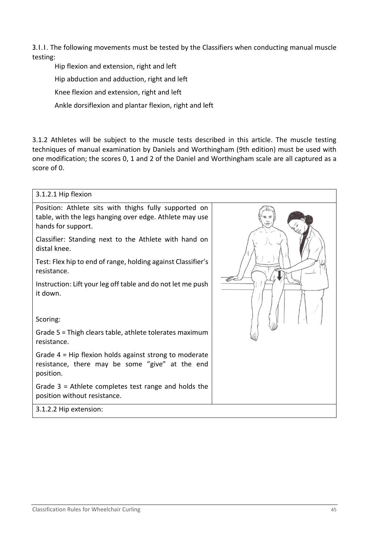3.1.1. The following movements must be tested by the Classifiers when conducting manual muscle testing:

Hip flexion and extension, right and left

Hip abduction and adduction, right and left

Knee flexion and extension, right and left

Ankle dorsiflexion and plantar flexion, right and left

3.1.2 Athletes will be subject to the muscle tests described in this article. The muscle testing techniques of manual examination by Daniels and Worthingham (9th edition) must be used with one modification; the scores 0, 1 and 2 of the Daniel and Worthingham scale are all captured as a score of 0.

| 3.1.2.1 Hip flexion                                                                                                                    |  |
|----------------------------------------------------------------------------------------------------------------------------------------|--|
| Position: Athlete sits with thighs fully supported on<br>table, with the legs hanging over edge. Athlete may use<br>hands for support. |  |
| Classifier: Standing next to the Athlete with hand on<br>distal knee.                                                                  |  |
| Test: Flex hip to end of range, holding against Classifier's<br>resistance.                                                            |  |
| Instruction: Lift your leg off table and do not let me push<br>it down.<br>Scoring:                                                    |  |
| Grade 5 = Thigh clears table, athlete tolerates maximum<br>resistance.                                                                 |  |
| Grade 4 = Hip flexion holds against strong to moderate<br>resistance, there may be some "give" at the end<br>position.                 |  |
| Grade $3$ = Athlete completes test range and holds the<br>position without resistance.                                                 |  |
| 3.1.2.2 Hip extension:                                                                                                                 |  |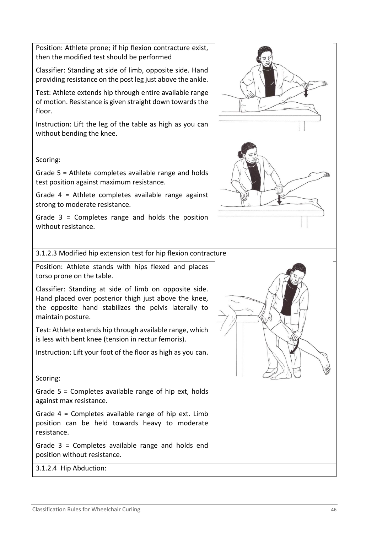Position: Athlete prone; if hip flexion contracture exist, then the modified test should be performed

Classifier: Standing at side of limb, opposite side. Hand providing resistance on the post leg just above the ankle.

Test: Athlete extends hip through entire available range of motion. Resistance is given straight down towards the floor.

Instruction: Lift the leg of the table as high as you can without bending the knee.

### Scoring:

Grade 5 = Athlete completes available range and holds test position against maximum resistance.

Grade 4 = Athlete completes available range against strong to moderate resistance.

Grade 3 = Completes range and holds the position without resistance.

3.1.2.3 Modified hip extension test for hip flexion contracture

Position: Athlete stands with hips flexed and places torso prone on the table.

Classifier: Standing at side of limb on opposite side. Hand placed over posterior thigh just above the knee, the opposite hand stabilizes the pelvis laterally to maintain posture.

Test: Athlete extends hip through available range, which is less with bent knee (tension in rectur femoris).

Instruction: Lift your foot of the floor as high as you can.

Scoring:

Grade 5 = Completes available range of hip ext, holds against max resistance.

Grade 4 = Completes available range of hip ext. Limb position can be held towards heavy to moderate resistance.

Grade 3 = Completes available range and holds end position without resistance.

3.1.2.4 Hip Abduction:

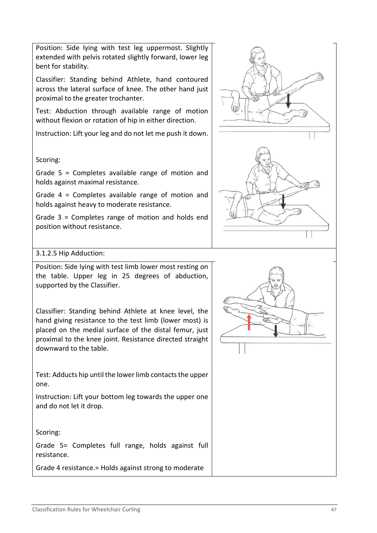Position: Side lying with test leg uppermost. Slightly extended with pelvis rotated slightly forward, lower leg bent for stability.

Classifier: Standing behind Athlete, hand contoured across the lateral surface of knee. The other hand just proximal to the greater trochanter.

Test: Abduction through available range of motion without flexion or rotation of hip in either direction.

Instruction: Lift your leg and do not let me push it down.

### Scoring:

Grade 5 = Completes available range of motion and holds against maximal resistance.

Grade 4 = Completes available range of motion and holds against heavy to moderate resistance.

Grade 3 = Completes range of motion and holds end position without resistance.

### 3.1.2.5 Hip Adduction:

Position: Side lying with test limb lower most resting on the table. Upper leg in 25 degrees of abduction, supported by the Classifier.

Classifier: Standing behind Athlete at knee level, the hand giving resistance to the test limb (lower most) is placed on the medial surface of the distal femur, just proximal to the knee joint. Resistance directed straight downward to the table.

Test: Adducts hip until the lower limb contacts the upper one.

Instruction: Lift your bottom leg towards the upper one and do not let it drop.

Scoring:

Grade 5= Completes full range, holds against full resistance.

Grade 4 resistance.= Holds against strong to moderate



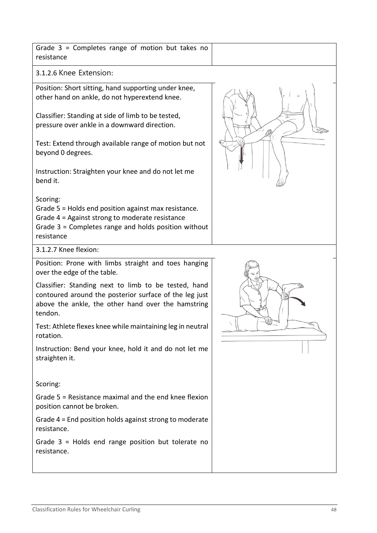| Knee Extension:                                                                                                                                      |  |
|------------------------------------------------------------------------------------------------------------------------------------------------------|--|
| n: Short sitting, hand supporting under knee,<br>and on ankle, do not hyperextend knee.                                                              |  |
| er: Standing at side of limb to be tested,<br>e over ankle in a downward direction.                                                                  |  |
| tend through available range of motion but not<br>0 degrees.                                                                                         |  |
| tion: Straighten your knee and do not let me                                                                                                         |  |
| 5 = Holds end position against max resistance.<br>1 = Against strong to moderate resistance<br>3 = Completes range and holds position without<br>າce |  |
| Knee flexion:                                                                                                                                        |  |
| n: Prone with limbs straight and toes hanging<br>e edge of the table.                                                                                |  |
| er: Standing next to limb to be tested, hand<br>red around the posterior surface of the leg just<br>the ankle, the other hand over the hamstring     |  |
| hlete flexes knee while maintaining leg in neutral<br>٦.                                                                                             |  |
| tion: Bend your knee, hold it and do not let me                                                                                                      |  |

Scoring:

Grade 5 = Resistance maximal and the end knee flexion position cannot be broken.

Grade 4 = End position holds against strong to moderate resistance.

Grade 3 = Holds end range position but tolerate no resistance.

# Grade 3 = Completes range of motion but takes no resistance

 $3.1.2.6$ 

Position other ha

Classifie pressur

Test: Ext beyond

Instruct bend it.

Scoring:

Grade 5 Grade 4 Grade 3 resistan

 $3.1.2.7$ 

Position over the

Classifie contour above the ankle, the other hand over the hamstring tendon.

Test: At rotation

Instruct straighten it.





P

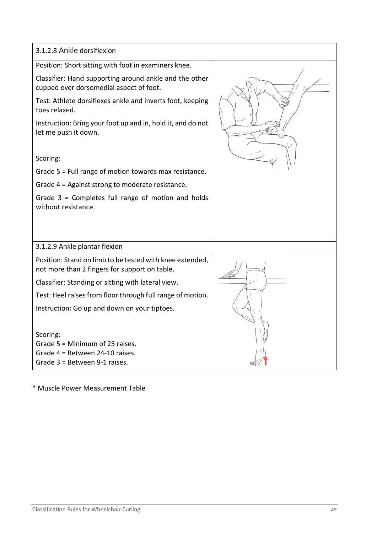3.1.2.8 Ankle dorsiflexion Position: Short sitting with foot in examiners knee. Classifier: Hand supporting around ankle and the other cupped over dorsomedial aspect of foot. Test: Athlete dorsiflexes ankle and inverts foot, keeping toes relaxed. Instruction: Bring your foot up and in, hold it, and do not let me push it down. Scoring: Grade 5 = Full range of motion towards max resistance. Grade 4 = Against strong to moderate resistance. Grade 3 = Completes full range of motion and holds without resistance. 3.1.2.9 Ankle plantar flexion Position: Stand on limb to be tested with knee extended, not more than 2 fingers for support on table. Classifier: Standing or sitting with lateral view. Test: Heel raises from floor through full range of motion. Instruction: Go up and down on your tiptoes. Scoring: Grade 5 = Minimum of 25 raises. Grade 4 = Between 24-10 raises. Grade 3 = Between 9-1 raises.

\* Muscle Power Measurement Table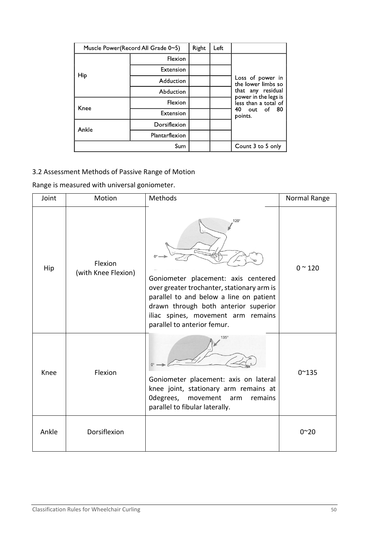| Muscle Power(Record All Grade 0~5) | Right          | Left |                   |                                           |
|------------------------------------|----------------|------|-------------------|-------------------------------------------|
|                                    | <b>Flexion</b> |      |                   |                                           |
| <b>Hip</b>                         | Extension      |      |                   |                                           |
|                                    | Adduction      |      |                   | Loss of power in<br>the lower limbs so    |
|                                    | Abduction      |      |                   | that any residual<br>power in the legs is |
| Knee                               | <b>Flexion</b> |      |                   | less than a total of                      |
|                                    | Extension      |      |                   | 40 out of 80<br>points.                   |
| Ankle                              | Dorsiflexion   |      |                   |                                           |
|                                    | Plantarflexion |      |                   |                                           |
|                                    |                |      | Count 3 to 5 only |                                           |

# 3.2 Assessment Methods of Passive Range of Motion

Range is measured with universal goniometer.

| Joint | Motion                         | Methods                                                                                                                                                                                                                                           | Normal Range   |
|-------|--------------------------------|---------------------------------------------------------------------------------------------------------------------------------------------------------------------------------------------------------------------------------------------------|----------------|
| Hip   | Flexion<br>(with Knee Flexion) | 120°<br>Goniometer placement: axis centered<br>over greater trochanter, stationary arm is<br>parallel to and below a line on patient<br>drawn through both anterior superior<br>iliac spines, movement arm remains<br>parallel to anterior femur. | $0^{\sim}$ 120 |
| Knee  | Flexion                        | $135^\circ$<br>Goniometer placement: axis on lateral<br>knee joint, stationary arm remains at<br>Odegrees, movement<br>remains<br>arm<br>parallel to fibular laterally.                                                                           | $0^{\sim}135$  |
| Ankle | Dorsiflexion                   |                                                                                                                                                                                                                                                   | $0^{\sim}20$   |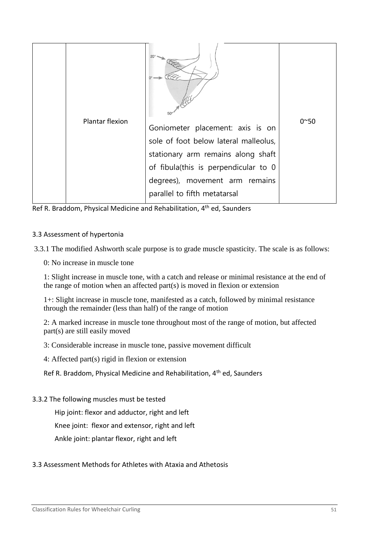

Ref R. Braddom, Physical Medicine and Rehabilitation, 4<sup>th</sup> ed, Saunders

#### 3.3 Assessment of hypertonia

3.3.1 The modified Ashworth scale purpose is to grade muscle spasticity. The scale is as follows:

0: No increase in muscle tone

1: Slight increase in muscle tone, with a catch and release or minimal resistance at the end of the range of motion when an affected part(s) is moved in flexion or extension

1+: Slight increase in muscle tone, manifested as a catch, followed by minimal resistance through the remainder (less than half) of the range of motion

2: A marked increase in muscle tone throughout most of the range of motion, but affected part(s) are still easily moved

3: Considerable increase in muscle tone, passive movement difficult

4: Affected part(s) rigid in flexion or extension

Ref R. Braddom, Physical Medicine and Rehabilitation, 4th ed, Saunders

3.3.2 The following muscles must be tested

Hip joint: flexor and adductor, right and left

Knee joint: flexor and extensor, right and left

Ankle joint: plantar flexor, right and left

### 3.3 Assessment Methods for Athletes with Ataxia and Athetosis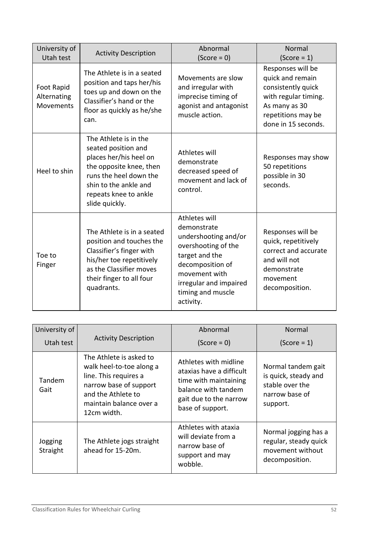| University of<br>Utah test             | <b>Activity Description</b>                                                                                                                                                                     | Abnormal<br>$(Score = 0)$                                                                                                                                                                      | Normal<br>$(Score = 1)$                                                                                                                           |
|----------------------------------------|-------------------------------------------------------------------------------------------------------------------------------------------------------------------------------------------------|------------------------------------------------------------------------------------------------------------------------------------------------------------------------------------------------|---------------------------------------------------------------------------------------------------------------------------------------------------|
| Foot Rapid<br>Alternating<br>Movements | The Athlete is in a seated<br>position and taps her/his<br>toes up and down on the<br>Classifier's hand or the<br>floor as quickly as he/she<br>can.                                            | Movements are slow<br>and irregular with<br>imprecise timing of<br>agonist and antagonist<br>muscle action.                                                                                    | Responses will be<br>quick and remain<br>consistently quick<br>with regular timing.<br>As many as 30<br>repetitions may be<br>done in 15 seconds. |
| Heel to shin                           | The Athlete is in the<br>seated position and<br>places her/his heel on<br>the opposite knee, then<br>runs the heel down the<br>shin to the ankle and<br>repeats knee to ankle<br>slide quickly. | Athletes will<br>demonstrate<br>decreased speed of<br>movement and lack of<br>control.                                                                                                         | Responses may show<br>50 repetitions<br>possible in 30<br>seconds.                                                                                |
| Toe to<br>Finger                       | The Athlete is in a seated<br>position and touches the<br>Classifier's finger with<br>his/her toe repetitively<br>as the Classifier moves<br>their finger to all four<br>quadrants.             | Athletes will<br>demonstrate<br>undershooting and/or<br>overshooting of the<br>target and the<br>decomposition of<br>movement with<br>irregular and impaired<br>timing and muscle<br>activity. | Responses will be<br>quick, repetitively<br>correct and accurate<br>and will not<br>demonstrate<br>movement<br>decomposition.                     |

| University of       |                                                                                                                                                                        | Abnormal                                                                                                                                        | Normal                                                                                      |
|---------------------|------------------------------------------------------------------------------------------------------------------------------------------------------------------------|-------------------------------------------------------------------------------------------------------------------------------------------------|---------------------------------------------------------------------------------------------|
| Utah test           | <b>Activity Description</b>                                                                                                                                            | $(Score = 0)$                                                                                                                                   | $(Score = 1)$                                                                               |
| Tandem<br>Gait      | The Athlete is asked to<br>walk heel-to-toe along a<br>line. This requires a<br>narrow base of support<br>and the Athlete to<br>maintain balance over a<br>12cm width. | Athletes with midline<br>ataxias have a difficult<br>time with maintaining<br>balance with tandem<br>gait due to the narrow<br>base of support. | Normal tandem gait<br>is quick, steady and<br>stable over the<br>narrow base of<br>support. |
| Jogging<br>Straight | The Athlete jogs straight<br>ahead for 15-20m.                                                                                                                         | Athletes with ataxia<br>will deviate from a<br>narrow base of<br>support and may<br>wobble.                                                     | Normal jogging has a<br>regular, steady quick<br>movement without<br>decomposition.         |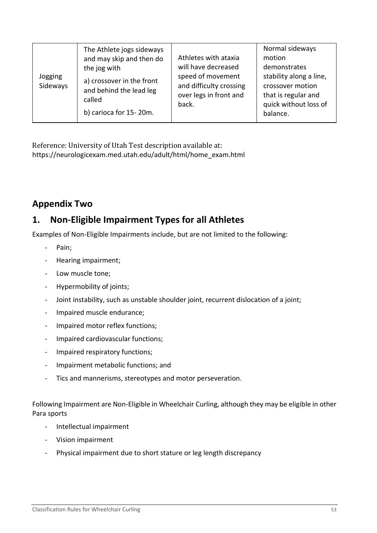| Jogging<br>Sideways | The Athlete jogs sideways<br>and may skip and then do<br>the jog with<br>a) crossover in the front<br>and behind the lead leg<br>called | Athletes with ataxia<br>will have decreased<br>speed of movement<br>and difficulty crossing<br>over legs in front and<br>back. | Normal sideways<br>motion<br>demonstrates<br>stability along a line,<br>crossover motion<br>that is regular and<br>quick without loss of |
|---------------------|-----------------------------------------------------------------------------------------------------------------------------------------|--------------------------------------------------------------------------------------------------------------------------------|------------------------------------------------------------------------------------------------------------------------------------------|
|                     | b) carioca for 15-20m.                                                                                                                  |                                                                                                                                | balance.                                                                                                                                 |

Reference: University of Utah Test description available at: https://neurologicexam.med.utah.edu/adult/html/home\_exam.html

# <span id="page-52-0"></span>**Appendix Two**

# <span id="page-52-1"></span>**1. Non-Eligible Impairment Types for all Athletes**

Examples of Non-Eligible Impairments include, but are not limited to the following:

- Pain;
- Hearing impairment;
- Low muscle tone;
- Hypermobility of joints;
- Joint instability, such as unstable shoulder joint, recurrent dislocation of a joint;
- Impaired muscle endurance;
- Impaired motor reflex functions;
- Impaired cardiovascular functions;
- Impaired respiratory functions;
- Impairment metabolic functions; and
- Tics and mannerisms, stereotypes and motor perseveration.

Following Impairment are Non-Eligible in Wheelchair Curling, although they may be eligible in other Para sports

- Intellectual impairment
- Vision impairment
- Physical impairment due to short stature or leg length discrepancy